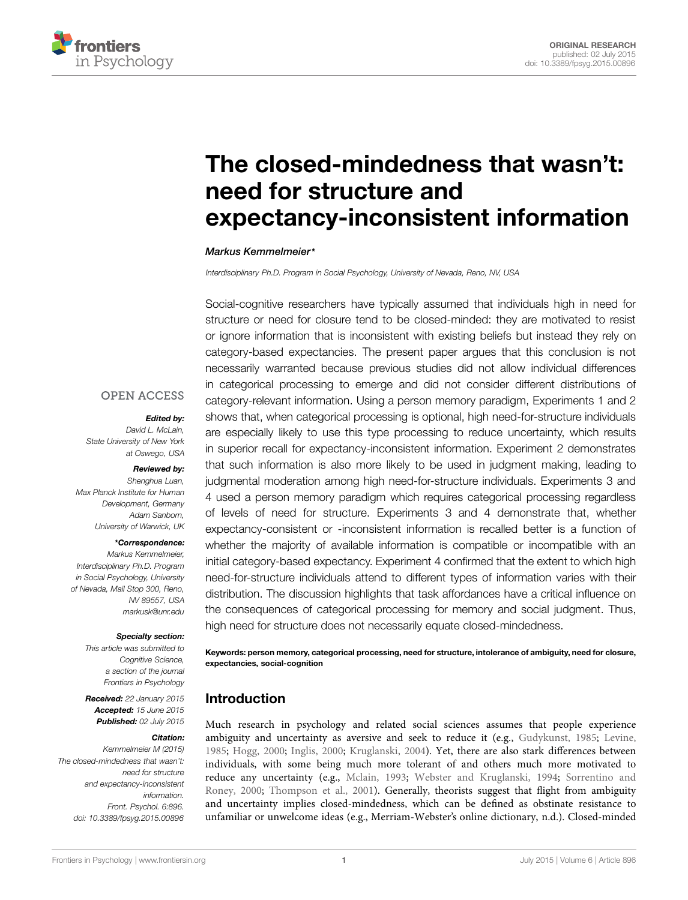

# The closed-mindedness that wasn't: need for structure and [expectancy-inconsistent information](http://journal.frontiersin.org/article/10.3389/fpsyg.2015.00896/abstract)

#### *[Markus Kemmelmeier\\*](http://loop.frontiersin.org/people/173049)*

*Interdisciplinary Ph.D. Program in Social Psychology, University of Nevada, Reno, NV, USA*

Social-cognitive researchers have typically assumed that individuals high in need for structure or need for closure tend to be closed-minded: they are motivated to resist or ignore information that is inconsistent with existing beliefs but instead they rely on category-based expectancies. The present paper argues that this conclusion is not necessarily warranted because previous studies did not allow individual differences in categorical processing to emerge and did not consider different distributions of category-relevant information. Using a person memory paradigm, Experiments 1 and 2 shows that, when categorical processing is optional, high need-for-structure individuals are especially likely to use this type processing to reduce uncertainty, which results in superior recall for expectancy-inconsistent information. Experiment 2 demonstrates that such information is also more likely to be used in judgment making, leading to judgmental moderation among high need-for-structure individuals. Experiments 3 and 4 used a person memory paradigm which requires categorical processing regardless of levels of need for structure. Experiments 3 and 4 demonstrate that, whether expectancy-consistent or -inconsistent information is recalled better is a function of whether the majority of available information is compatible or incompatible with an initial category-based expectancy. Experiment 4 confirmed that the extent to which high need-for-structure individuals attend to different types of information varies with their distribution. The discussion highlights that task affordances have a critical influence on the consequences of categorical processing for memory and social judgment. Thus, high need for structure does not necessarily equate closed-mindedness.

Keywords: person memory, categorical processing, need for structure, intolerance of ambiguity, need for closure,

### Introduction

expectancies, social-cognition

Much research in psychology and related social sciences assumes that people experience ambiguity and uncertainty as aversive and seek to reduce it (e.g., [Gudykunst, 1985](#page-13-0); [Levine,](#page-14-0) [1985;](#page-14-0) [Hogg](#page-13-1), [2000](#page-13-1); [Inglis](#page-13-2), [2000](#page-13-2); [Kruglanski](#page-14-1), [2004](#page-14-1)). Yet, there are also stark differences between individuals, with some being much more tolerant of and others much more motivated to reduce any uncertainty (e.g., [Mclain](#page-14-2), [1993;](#page-14-2) [Webster and Kruglanski](#page-14-3)[,](#page-14-4) [1994](#page-14-3)[;](#page-14-4) Sorrentino and Roney, [2000;](#page-14-4) [Thompson et al., 2001\)](#page-14-5). Generally, theorists suggest that flight from ambiguity and uncertainty implies closed-mindedness, which can be defined as obstinate resistance to unfamiliar or unwelcome ideas (e.g., Merriam-Webster's online dictionary, n.d.). Closed-minded

# **OPEN ACCESS**

#### *Edited by:*

*David L. McLain, State University of New York at Oswego, USA*

#### *Reviewed by:*

*Shenghua Luan, Max Planck Institute for Human Development, Germany Adam Sanborn, University of Warwick, UK*

#### *\*Correspondence:*

*Markus Kemmelmeier, Interdisciplinary Ph.D. Program in Social Psychology, University of Nevada, Mail Stop 300, Reno, NV 89557, USA markusk@unr.edu*

#### *Specialty section:*

*This article was submitted to Cognitive Science, a section of the journal Frontiers in Psychology*

*Received: 22 January 2015 Accepted: 15 June 2015 Published: 02 July 2015*

#### *Citation:*

*Kemmelmeier M (2015) The closed-mindedness that wasn't: need for structure and expectancy-inconsistent information. Front. Psychol. 6:896. doi: [10.3389/fpsyg.2015.00896](http://dx.doi.org/10.3389/fpsyg.2015.00896)*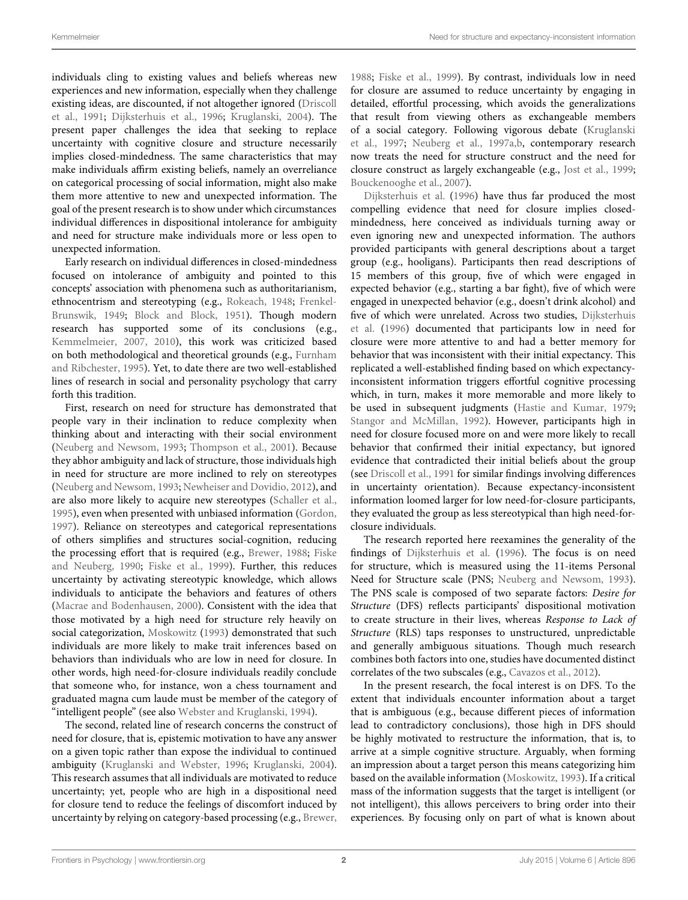individuals cling to existing values and beliefs whereas new experiences and new information, especially when they challenge existi[ng ideas, are discounted, if not altogether ignored \(](#page-13-3)Driscoll et al., [1991;](#page-13-3) [Dijksterhuis et al.](#page-13-4), [1996;](#page-13-4) [Kruglanski](#page-14-1), [2004\)](#page-14-1). The present paper challenges the idea that seeking to replace uncertainty with cognitive closure and structure necessarily implies closed-mindedness. The same characteristics that may make individuals affirm existing beliefs, namely an overreliance on categorical processing of social information, might also make them more attentive to new and unexpected information. The goal of the present research is to show under which circumstances individual differences in dispositional intolerance for ambiguity and need for structure make individuals more or less open to unexpected information.

Early research on individual differences in closed-mindedness focused on intolerance of ambiguity and pointed to this concepts' association with phenomena such as authoritarianism, ethnocen[trism and stereotyping \(e.g.,](#page-13-5) [Rokeach, 1948](#page-14-6); Frenkel-Brunswik, [1949](#page-13-5); [Block and Block](#page-13-6), [1951\)](#page-13-6). Though modern research has supported some of its conclusions (e.g., [Kemmelmeier](#page-14-7), [2007,](#page-14-7) [2010\)](#page-14-8), this work was criticized based on both meth[odological and theoretical grounds \(e.g.,](#page-13-7) Furnham and Ribchester, [1995\)](#page-13-7). Yet, to date there are two well-established lines of research in social and personality psychology that carry forth this tradition.

First, research on need for structure has demonstrated that people vary in their inclination to reduce complexity when thinking about and interacting with their social environment [\(Neuberg and Newsom](#page-14-9), [1993](#page-14-9); [Thompson et al., 2001](#page-14-5)). Because they abhor ambiguity and lack of structure, those individuals high in need for structure are more inclined to rely on stereotypes [\(Neuberg and Newsom](#page-14-9), [1993;](#page-14-9) [Newheiser and Dovidio, 2012](#page-14-10)), and are also more likely to acquire new stereotypes [\(Schaller et al.](#page-14-11), [1995](#page-14-11)), even when presented with unbiased information [\(Gordon](#page-13-8), [1997](#page-13-8)). Reliance on stereotypes and categorical representations of others simplifies and structures social-cognition, reducing the processin[g](#page-13-10) [effort](#page-13-10) [that](#page-13-10) [is](#page-13-10) [required](#page-13-10) [\(e.g.,](#page-13-10) [Brewer](#page-13-9), [1988](#page-13-9); Fiske and Neuberg, [1990;](#page-13-10) [Fiske et al.](#page-13-11), [1999](#page-13-11)). Further, this reduces uncertainty by activating stereotypic knowledge, which allows individuals to anticipate the behaviors and features of others [\(Macrae and Bodenhausen](#page-14-12), [2000](#page-14-12)). Consistent with the idea that those motivated by a high need for structure rely heavily on social categorization, [Moskowitz](#page-14-13) [\(1993\)](#page-14-13) demonstrated that such individuals are more likely to make trait inferences based on behaviors than individuals who are low in need for closure. In other words, high need-for-closure individuals readily conclude that someone who, for instance, won a chess tournament and graduated magna cum laude must be member of the category of "intelligent people" (see also [Webster and Kruglanski, 1994](#page-14-3)).

The second, related line of research concerns the construct of need for closure, that is, epistemic motivation to have any answer on a given topic rather than expose the individual to continued ambiguity [\(Kruglanski and Webster](#page-14-14), [1996;](#page-14-14) [Kruglanski](#page-14-1), [2004](#page-14-1)). This research assumes that all individuals are motivated to reduce uncertainty; yet, people who are high in a dispositional need for closure tend to reduce the feelings of discomfort induced by uncertainty by relying on category-based processing (e.g., [Brewer](#page-13-9),

[1988;](#page-13-9) [Fiske et al.](#page-13-11), [1999\)](#page-13-11). By contrast, individuals low in need for closure are assumed to reduce uncertainty by engaging in detailed, effortful processing, which avoids the generalizations that result from viewing others as exchangeable members of a [social category. Following vigorous debate \(](#page-14-15)Kruglanski et al., [1997;](#page-14-15) [Neuberg et al.](#page-14-16), [1997a](#page-14-16)[,b](#page-14-17), contemporary research now treats the need for structure construct and the need for closure construct as largely exchangeable (e.g., [Jost et al.](#page-13-12), [1999](#page-13-12); [Bouckenooghe et al.](#page-13-13), [2007\)](#page-13-13).

[Dijksterhuis et al.](#page-13-4) [\(1996\)](#page-13-4) have thus far produced the most compelling evidence that need for closure implies closedmindedness, here conceived as individuals turning away or even ignoring new and unexpected information. The authors provided participants with general descriptions about a target group (e.g., hooligans). Participants then read descriptions of 15 members of this group, five of which were engaged in expected behavior (e.g., starting a bar fight), five of which were engaged in unexpected behavior (e.g., doesn't drink alcohol) and five [of which were unrelated. Across two studies,](#page-13-4) Dijksterhuis et al. [\(1996](#page-13-4)) documented that participants low in need for closure were more attentive to and had a better memory for behavior that was inconsistent with their initial expectancy. This replicated a well-established finding based on which expectancyinconsistent information triggers effortful cognitive processing which, in turn, makes it more memorable and more likely to be used in subsequent judgments [\(Hastie and Kumar, 1979](#page-13-14); [Stangor and McMillan](#page-14-18), [1992](#page-14-18)). However, participants high in need for closure focused more on and were more likely to recall behavior that confirmed their initial expectancy, but ignored evidence that contradicted their initial beliefs about the group (see [Driscoll et al., 1991](#page-13-3) for similar findings involving differences in uncertainty orientation). Because expectancy-inconsistent information loomed larger for low need-for-closure participants, they evaluated the group as less stereotypical than high need-forclosure individuals.

The research reported here reexamines the generality of the findings of [Dijksterhuis et al.](#page-13-4) [\(1996\)](#page-13-4). The focus is on need for structure, which is measured using the 11-items Personal Need for Structure scale (PNS; [Neuberg and Newsom](#page-14-9), [1993\)](#page-14-9). The PNS scale is composed of two separate factors: *Desire for Structure* (DFS) reflects participants' dispositional motivation to create structure in their lives, whereas *Response to Lack of Structure* (RLS) taps responses to unstructured, unpredictable and generally ambiguous situations. Though much research combines both factors into one, studies have documented distinct correlates of the two subscales (e.g., [Cavazos et al., 2012](#page-13-15)).

In the present research, the focal interest is on DFS. To the extent that individuals encounter information about a target that is ambiguous (e.g., because different pieces of information lead to contradictory conclusions), those high in DFS should be highly motivated to restructure the information, that is, to arrive at a simple cognitive structure. Arguably, when forming an impression about a target person this means categorizing him based on the available information [\(Moskowitz, 1993](#page-14-13)). If a critical mass of the information suggests that the target is intelligent (or not intelligent), this allows perceivers to bring order into their experiences. By focusing only on part of what is known about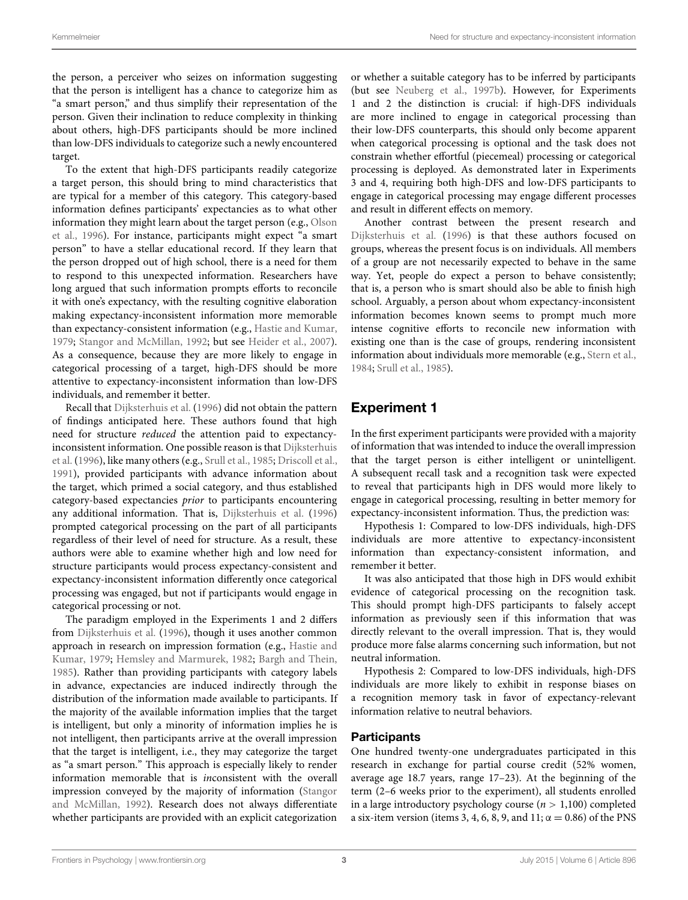the person, a perceiver who seizes on information suggesting that the person is intelligent has a chance to categorize him as "a smart person," and thus simplify their representation of the person. Given their inclination to reduce complexity in thinking about others, high-DFS participants should be more inclined than low-DFS individuals to categorize such a newly encountered target.

To the extent that high-DFS participants readily categorize a target person, this should bring to mind characteristics that are typical for a member of this category. This category-based information defines participants' expectancies as to what other infor[mation they might learn about the target person \(e.g.,](#page-14-19) Olson et al., [1996](#page-14-19)). For instance, participants might expect "a smart person" to have a stellar educational record. If they learn that the person dropped out of high school, there is a need for them to respond to this unexpected information. Researchers have long argued that such information prompts efforts to reconcile it with one's expectancy, with the resulting cognitive elaboration making expectancy-inconsistent information more memorable than expectancy-consistent information (e.g., [Hastie and Kumar,](#page-13-14) [1979](#page-13-14); [Stangor and McMillan](#page-14-18), [1992](#page-14-18); but see [Heider et al.](#page-13-16), [2007](#page-13-16)). As a consequence, because they are more likely to engage in categorical processing of a target, high-DFS should be more attentive to expectancy-inconsistent information than low-DFS individuals, and remember it better.

Recall that [Dijksterhuis et al.](#page-13-4) [\(1996\)](#page-13-4) did not obtain the pattern of findings anticipated here. These authors found that high need for structure *reduced* the attention paid to expectancyinco[nsistent information. One possible reason is that](#page-13-4) Dijksterhuis et al. [\(1996\)](#page-13-4), like many others (e.g., [Srull et al.](#page-14-20), [1985](#page-14-20); [Driscoll et al.,](#page-13-3) [1991](#page-13-3)), provided participants with advance information about the target, which primed a social category, and thus established category-based expectancies *prior* to participants encountering any additional information. That is, [Dijksterhuis et al.](#page-13-4) [\(1996\)](#page-13-4) prompted categorical processing on the part of all participants regardless of their level of need for structure. As a result, these authors were able to examine whether high and low need for structure participants would process expectancy-consistent and expectancy-inconsistent information differently once categorical processing was engaged, but not if participants would engage in categorical processing or not.

The paradigm employed in the Experiments 1 and 2 differs from [Dijksterhuis et al.](#page-13-4) [\(1996](#page-13-4)), though it uses another common approa[ch in research on impression formation \(e.g.,](#page-13-14) Hastie and Kumar, [1979](#page-13-14); [Hemsley and Marmurek](#page-13-17), [1982;](#page-13-17) [Bargh and Thein,](#page-13-18) [1985](#page-13-18)). Rather than providing participants with category labels in advance, expectancies are induced indirectly through the distribution of the information made available to participants. If the majority of the available information implies that the target is intelligent, but only a minority of information implies he is not intelligent, then participants arrive at the overall impression that the target is intelligent, i.e., they may categorize the target as "a smart person." This approach is especially likely to render information memorable that is *in*consistent with the overall impression co[nveyed by the majority of information \(](#page-14-18)Stangor and McMillan, [1992\)](#page-14-18). Research does not always differentiate whether participants are provided with an explicit categorization

or whether a suitable category has to be inferred by participants (but see [Neuberg et al.](#page-14-17), [1997b\)](#page-14-17). However, for Experiments 1 and 2 the distinction is crucial: if high-DFS individuals are more inclined to engage in categorical processing than their low-DFS counterparts, this should only become apparent when categorical processing is optional and the task does not constrain whether effortful (piecemeal) processing or categorical processing is deployed. As demonstrated later in Experiments 3 and 4, requiring both high-DFS and low-DFS participants to engage in categorical processing may engage different processes and result in different effects on memory.

Another contrast between the present research and [Dijksterhuis et al.](#page-13-4) [\(1996\)](#page-13-4) is that these authors focused on groups, whereas the present focus is on individuals. All members of a group are not necessarily expected to behave in the same way. Yet, people do expect a person to behave consistently; that is, a person who is smart should also be able to finish high school. Arguably, a person about whom expectancy-inconsistent information becomes known seems to prompt much more intense cognitive efforts to reconcile new information with existing one than is the case of groups, rendering inconsistent information about individuals more memorable (e.g., [Stern et al.](#page-14-21), [1984](#page-14-21); [Srull et al.](#page-14-20), [1985\)](#page-14-20).

# Experiment 1

In the first experiment participants were provided with a majority of information that was intended to induce the overall impression that the target person is either intelligent or unintelligent. A subsequent recall task and a recognition task were expected to reveal that participants high in DFS would more likely to engage in categorical processing, resulting in better memory for expectancy-inconsistent information. Thus, the prediction was:

Hypothesis 1: Compared to low-DFS individuals, high-DFS individuals are more attentive to expectancy-inconsistent information than expectancy-consistent information, and remember it better.

It was also anticipated that those high in DFS would exhibit evidence of categorical processing on the recognition task. This should prompt high-DFS participants to falsely accept information as previously seen if this information that was directly relevant to the overall impression. That is, they would produce more false alarms concerning such information, but not neutral information.

Hypothesis 2: Compared to low-DFS individuals, high-DFS individuals are more likely to exhibit in response biases on a recognition memory task in favor of expectancy-relevant information relative to neutral behaviors.

#### **Participants**

One hundred twenty-one undergraduates participated in this research in exchange for partial course credit (52% women, average age 18.7 years, range 17–23). At the beginning of the term (2–6 weeks prior to the experiment), all students enrolled in a large introductory psychology course (*n >* 1,100) completed a six-item version (items 3, 4, 6, 8, 9, and 11;  $\alpha = 0.86$ ) of the PNS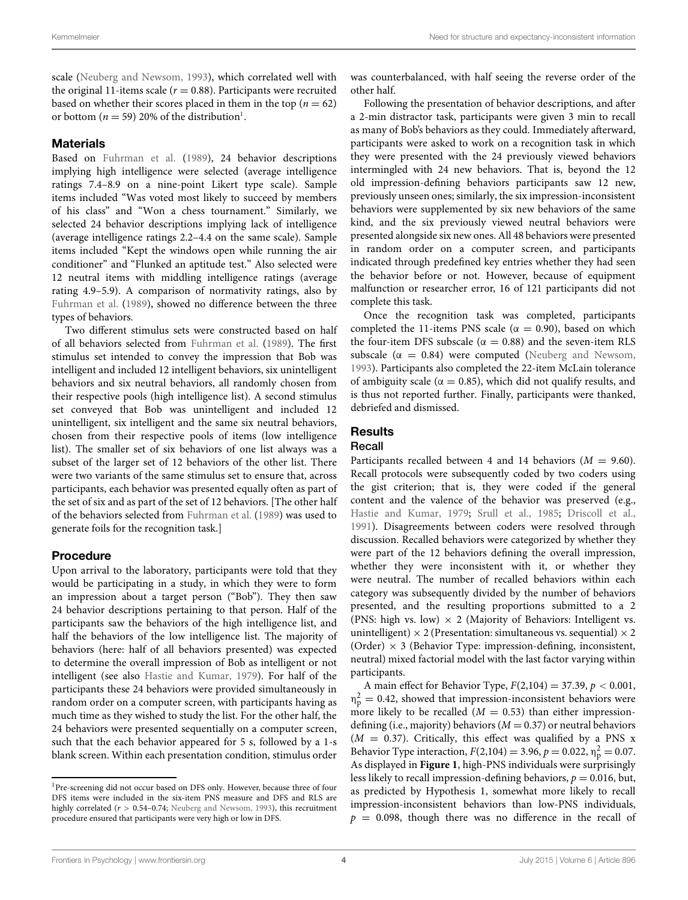scale [\(Neuberg and Newsom](#page-14-9), [1993\)](#page-14-9), which correlated well with the original 11-items scale ( $r = 0.88$ ). Participants were recruited based on whether their scores placed in them in the top ( $n = 62$ ) or bottom ( $n = 59$ ) 20% of the distribution<sup>1</sup>.

#### **Materials**

Based on [Fuhrman et al.](#page-13-19) [\(1989\)](#page-13-19), 24 behavior descriptions implying high intelligence were selected (average intelligence ratings 7.4–8.9 on a nine-point Likert type scale). Sample items included "Was voted most likely to succeed by members of his class" and "Won a chess tournament." Similarly, we selected 24 behavior descriptions implying lack of intelligence (average intelligence ratings 2.2–4.4 on the same scale). Sample items included "Kept the windows open while running the air conditioner" and "Flunked an aptitude test." Also selected were 12 neutral items with middling intelligence ratings (average rating 4.9–5.9). A comparison of normativity ratings, also by [Fuhrman et al.](#page-13-19) [\(1989](#page-13-19)), showed no difference between the three types of behaviors.

Two different stimulus sets were constructed based on half of all behaviors selected from [Fuhrman et al.](#page-13-19) [\(1989\)](#page-13-19). The first stimulus set intended to convey the impression that Bob was intelligent and included 12 intelligent behaviors, six unintelligent behaviors and six neutral behaviors, all randomly chosen from their respective pools (high intelligence list). A second stimulus set conveyed that Bob was unintelligent and included 12 unintelligent, six intelligent and the same six neutral behaviors, chosen from their respective pools of items (low intelligence list). The smaller set of six behaviors of one list always was a subset of the larger set of 12 behaviors of the other list. There were two variants of the same stimulus set to ensure that, across participants, each behavior was presented equally often as part of the set of six and as part of the set of 12 behaviors. [The other half of the behaviors selected from [Fuhrman et al.](#page-13-19) [\(1989\)](#page-13-19) was used to generate foils for the recognition task.]

#### Procedure

Upon arrival to the laboratory, participants were told that they would be participating in a study, in which they were to form an impression about a target person ("Bob"). They then saw 24 behavior descriptions pertaining to that person. Half of the participants saw the behaviors of the high intelligence list, and half the behaviors of the low intelligence list. The majority of behaviors (here: half of all behaviors presented) was expected to determine the overall impression of Bob as intelligent or not intelligent (see also [Hastie and Kumar](#page-13-14), [1979\)](#page-13-14). For half of the participants these 24 behaviors were provided simultaneously in random order on a computer screen, with participants having as much time as they wished to study the list. For the other half, the 24 behaviors were presented sequentially on a computer screen, such that the each behavior appeared for 5 s, followed by a 1-s blank screen. Within each presentation condition, stimulus order was counterbalanced, with half seeing the reverse order of the other half.

Following the presentation of behavior descriptions, and after a 2-min distractor task, participants were given 3 min to recall as many of Bob's behaviors as they could. Immediately afterward, participants were asked to work on a recognition task in which they were presented with the 24 previously viewed behaviors intermingled with 24 new behaviors. That is, beyond the 12 old impression-defining behaviors participants saw 12 new, previously unseen ones; similarly, the six impression-inconsistent behaviors were supplemented by six new behaviors of the same kind, and the six previously viewed neutral behaviors were presented alongside six new ones. All 48 behaviors were presented in random order on a computer screen, and participants indicated through predefined key entries whether they had seen the behavior before or not. However, because of equipment malfunction or researcher error, 16 of 121 participants did not complete this task.

Once the recognition task was completed, participants completed the 11-items PNS scale ( $\alpha = 0.90$ ), based on which the four-item DFS subscale ( $\alpha = 0.88$ ) and the seven-item RLS subscale ( $\alpha = 0.84$ ) were computed [\(Neuberg and Newsom](#page-14-9), [1993\)](#page-14-9). Participants also completed the 22-item McLain tolerance of ambiguity scale ( $\alpha = 0.85$ ), which did not qualify results, and is thus not reported further. Finally, participants were thanked, debriefed and dismissed.

## **Results**

#### Recall

Participants recalled between 4 and 14 behaviors  $(M = 9.60)$ . Recall protocols were subsequently coded by two coders using the gist criterion; that is, they were coded if the general content and the valence of the behavior was preserved (e.g., [Hastie and Kumar, 1979;](#page-13-14) [Srull et al., 1985;](#page-14-20) [Driscoll et al.](#page-13-3), [1991\)](#page-13-3). Disagreements between coders were resolved through discussion. Recalled behaviors were categorized by whether they were part of the 12 behaviors defining the overall impression, whether they were inconsistent with it, or whether they were neutral. The number of recalled behaviors within each category was subsequently divided by the number of behaviors presented, and the resulting proportions submitted to a 2 (PNS: high vs. low)  $\times$  2 (Majority of Behaviors: Intelligent vs. unintelligent)  $\times$  2 (Presentation: simultaneous vs. sequential)  $\times$  2 (Order)  $\times$  3 (Behavior Type: impression-defining, inconsistent, neutral) mixed factorial model with the last factor varying within participants.

A main effect for Behavior Type, *F*(2,104) = 37.39, *p <* 0.001,  $\eta_{\rm p}^2 = 0.42$ , showed that impression-inconsistent behaviors were more likely to be recalled  $(M = 0.53)$  than either impressiondefining (i.e., majority) behaviors ( $M = 0.37$ ) or neutral behaviors  $(M = 0.37)$ . Critically, this effect was qualified by a PNS x Behavior Type interaction,  $F(2,104) = 3.96$ ,  $p = 0.022$ ,  $\eta_p^2 = 0.07$ . As displayed in **[Figure 1](#page-4-0)**, high-PNS individuals were surprisingly less likely to recall impression-defining behaviors,  $p = 0.016$ , but, as predicted by Hypothesis 1, somewhat more likely to recall impression-inconsistent behaviors than low-PNS individuals,  $p = 0.098$ , though there was no difference in the recall of

<span id="page-3-0"></span><sup>1</sup>Pre-screening did not occur based on DFS only. However, because three of four DFS items were included in the six-item PNS measure and DFS and RLS are highly correlated (*r >* 0.54–0.74; [Neuberg and Newsom, 1993](#page-14-9)), this recruitment procedure ensured that participants were very high or low in DFS.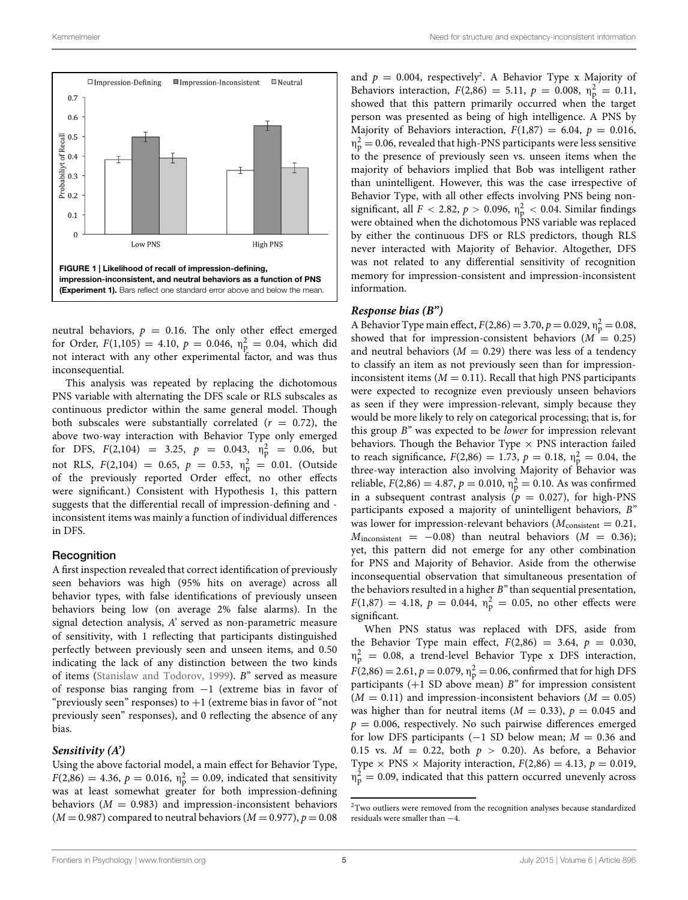

<span id="page-4-0"></span>neutral behaviors,  $p = 0.16$ . The only other effect emerged for Order,  $F(1,105) = 4.10$ ,  $p = 0.046$ ,  $\eta_p^2 = 0.04$ , which did not interact with any other experimental factor, and was thus inconsequential.

This analysis was repeated by replacing the dichotomous PNS variable with alternating the DFS scale or RLS subscales as continuous predictor within the same general model. Though both subscales were substantially correlated  $(r = 0.72)$ , the above two-way interaction with Behavior Type only emerged for DFS,  $F(2,104) = 3.25$ ,  $p = 0.043$ ,  $\eta_{p}^{2} = 0.06$ , but not RLS,  $F(2,104) = 0.65$ ,  $p = 0.53$ ,  $\eta_p^2 = 0.01$ . (Outside of the previously reported Order effect, no other effects were significant.) Consistent with Hypothesis 1, this pattern suggests that the differential recall of impression-defining and inconsistent items was mainly a function of individual differences in DFS.

#### **Recognition**

A first inspection revealed that correct identification of previously seen behaviors was high (95% hits on average) across all behavior types, with false identifications of previously unseen behaviors being low (on average 2% false alarms). In the signal detection analysis, *A'* served as non-parametric measure of sensitivity, with 1 reflecting that participants distinguished perfectly between previously seen and unseen items, and 0.50 indicating the lack of any distinction between the two kinds of items [\(Stanislaw and Todorov, 1999\)](#page-14-22). *B"* served as measure of response bias ranging from −1 (extreme bias in favor of "previously seen" responses) to  $+1$  (extreme bias in favor of "not previously seen" responses), and 0 reflecting the absence of any bias.

#### *Sensitivity (A')*

Using the above factorial model, a main effect for Behavior Type,  $F(2,86) = 4.36, p = 0.016, \eta_{\rm p}^2 = 0.09$ , indicated that sensitivity was at least somewhat greater for both impression-defining behaviors ( $M = 0.983$ ) and impression-inconsistent behaviors  $(M = 0.987)$  compared to neutral behaviors  $(M = 0.977)$ ,  $p = 0.08$ 

and  $p = 0.004$ , respectively<sup>2</sup>. A Behavior Type x Majority of Behaviors interaction,  $F(2,86) = 5.11$ ,  $p = 0.008$ ,  $\eta_{\rm p}^2 = 0.11$ , showed that this pattern primarily occurred when the target person was presented as being of high intelligence. A PNS by Majority of Behaviors interaction,  $F(1,87) = 6.04$ ,  $p = 0.016$ ,  $η<sub>P</sub><sup>2</sup> = 0.06$ , revealed that high-PNS participants were less sensitive to the presence of previously seen vs. unseen items when the majority of behaviors implied that Bob was intelligent rather than unintelligent. However, this was the case irrespective of Behavior Type, with all other effects involving PNS being nonsignificant, all  $F < 2.82$ ,  $p > 0.096$ ,  $\eta_p^2 < 0.04$ . Similar findings were obtained when the dichotomous PNS variable was replaced by either the continuous DFS or RLS predictors, though RLS never interacted with Majority of Behavior. Altogether, DFS was not related to any differential sensitivity of recognition memory for impression-consistent and impression-inconsistent information.

#### *Response bias (B")*

A Behavior Type main effect,  $F(2,86) = 3.70, p = 0.029, \eta_{\rm p}^2 = 0.08$ , showed that for impression-consistent behaviors  $(M = 0.25)$ and neutral behaviors  $(M = 0.29)$  there was less of a tendency to classify an item as not previously seen than for impressioninconsistent items  $(M = 0.11)$ . Recall that high PNS participants were expected to recognize even previously unseen behaviors as seen if they were impression-relevant, simply because they would be more likely to rely on categorical processing; that is, for this group *B"* was expected to be *lower* for impression relevant behaviors. Though the Behavior Type  $\times$  PNS interaction failed to reach significance,  $F(2,86) = 1.73$ ,  $p = 0.18$ ,  $\eta_p^2 = 0.04$ , the three-way interaction also involving Majority of Behavior was reliable,  $F(2,86) = 4.87$ ,  $p = 0.010$ ,  $\eta_p^2 = 0.10$ . As was confirmed in a subsequent contrast analysis  $(p = 0.027)$ , for high-PNS participants exposed a majority of unintelligent behaviors, *B"* was lower for impression-relevant behaviors ( $M_{\text{consistent}} = 0.21$ ,  $M_{\text{inconsistent}} = -0.08$ ) than neutral behaviors ( $M = 0.36$ ); yet, this pattern did not emerge for any other combination for PNS and Majority of Behavior. Aside from the otherwise inconsequential observation that simultaneous presentation of the behaviors resulted in a higher *B"* than sequential presentation,  $F(1,87) = 4.18, p = 0.044, \eta_{\rm p}^2 = 0.05, \text{ no other effects were}$ significant.

When PNS status was replaced with DFS, aside from the Behavior Type main effect,  $F(2,86) = 3.64$ ,  $p = 0.030$ ,  $\eta_p^2 = 0.08$ , a trend-level Behavior Type x DFS interaction,  $F(2,86) = 2.61, p = 0.079, \eta_{\rm p}^2 = 0.06$ , confirmed that for high DFS participants (+1 SD above mean) *B"* for impression consistent  $(M = 0.11)$  and impression-inconsistent behaviors  $(M = 0.05)$ was higher than for neutral items  $(M = 0.33)$ ,  $p = 0.045$  and  $p = 0.006$ , respectively. No such pairwise differences emerged for low DFS participants (−1 SD below mean; *M* = 0.36 and 0.15 vs.  $M = 0.22$ , both  $p > 0.20$ ). As before, a Behavior Type  $\times$  PNS  $\times$  Majority interaction,  $F(2,86) = 4.13$ ,  $p = 0.019$ ,  $\eta_{\rm p}^2 = 0.09$ , indicated that this pattern occurred unevenly across

<span id="page-4-1"></span><sup>&</sup>lt;sup>2</sup>Two outliers were removed from the recognition analyses because standardized residuals were smaller than −4.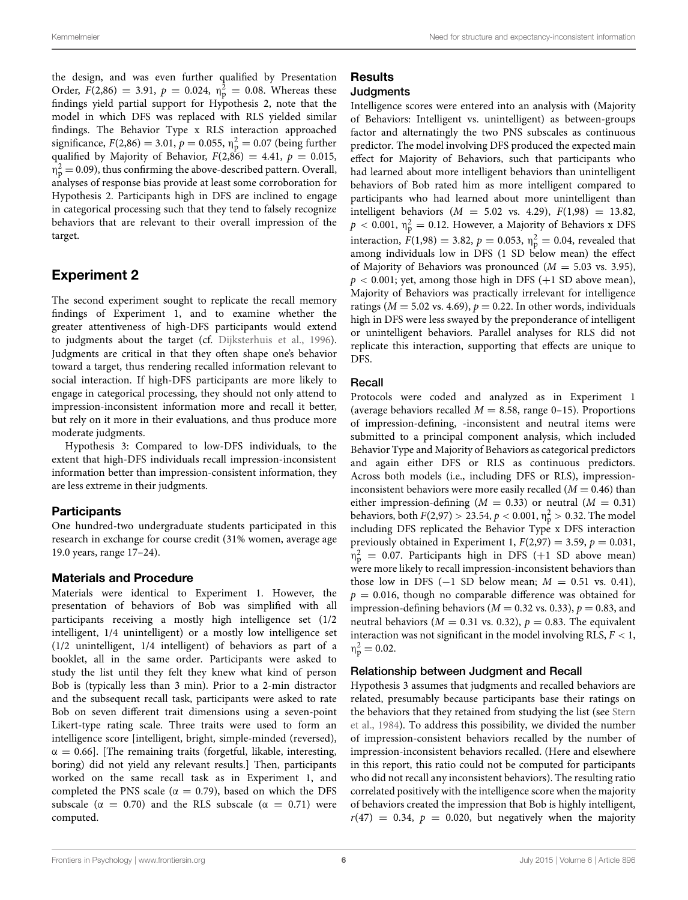the design, and was even further qualified by Presentation Order,  $F(2,86) = 3.91$ ,  $p = 0.024$ ,  $\eta_p^2 = 0.08$ . Whereas these findings yield partial support for Hypothesis 2, note that the model in which DFS was replaced with RLS yielded similar findings. The Behavior Type x RLS interaction approached significance,  $F(2,86) = 3.01$ ,  $p = 0.055$ ,  $\eta_p^2 = 0.07$  (being further qualified by Majority of Behavior,  $F(2,86) = 4.41$ ,  $p = 0.015$ ,  $\eta_{\rm p}^2$  = 0.09), thus confirming the above-described pattern. Overall, analyses of response bias provide at least some corroboration for Hypothesis 2. Participants high in DFS are inclined to engage in categorical processing such that they tend to falsely recognize behaviors that are relevant to their overall impression of the target.

# Experiment 2

The second experiment sought to replicate the recall memory findings of Experiment 1, and to examine whether the greater attentiveness of high-DFS participants would extend to judgments about the target (cf. [Dijksterhuis et al.](#page-13-4), [1996](#page-13-4)). Judgments are critical in that they often shape one's behavior toward a target, thus rendering recalled information relevant to social interaction. If high-DFS participants are more likely to engage in categorical processing, they should not only attend to impression-inconsistent information more and recall it better, but rely on it more in their evaluations, and thus produce more moderate judgments.

Hypothesis 3: Compared to low-DFS individuals, to the extent that high-DFS individuals recall impression-inconsistent information better than impression-consistent information, they are less extreme in their judgments.

#### **Participants**

One hundred-two undergraduate students participated in this research in exchange for course credit (31% women, average age 19.0 years, range 17–24).

#### Materials and Procedure

Materials were identical to Experiment 1. However, the presentation of behaviors of Bob was simplified with all participants receiving a mostly high intelligence set (1/2 intelligent, 1/4 unintelligent) or a mostly low intelligence set (1/2 unintelligent, 1/4 intelligent) of behaviors as part of a booklet, all in the same order. Participants were asked to study the list until they felt they knew what kind of person Bob is (typically less than 3 min). Prior to a 2-min distractor and the subsequent recall task, participants were asked to rate Bob on seven different trait dimensions using a seven-point Likert-type rating scale. Three traits were used to form an intelligence score [intelligent, bright, simple-minded (reversed),  $\alpha = 0.66$ ]. [The remaining traits (forgetful, likable, interesting, boring) did not yield any relevant results.] Then, participants worked on the same recall task as in Experiment 1, and completed the PNS scale ( $\alpha = 0.79$ ), based on which the DFS subscale ( $\alpha = 0.70$ ) and the RLS subscale ( $\alpha = 0.71$ ) were computed.

#### **Results** Judgments

Intelligence scores were entered into an analysis with (Majority of Behaviors: Intelligent vs. unintelligent) as between-groups factor and alternatingly the two PNS subscales as continuous predictor. The model involving DFS produced the expected main effect for Majority of Behaviors, such that participants who had learned about more intelligent behaviors than unintelligent behaviors of Bob rated him as more intelligent compared to participants who had learned about more unintelligent than intelligent behaviors (*M* = 5.02 vs. 4.29), *F*(1,98) = 13.82,  $p < 0.001$ ,  $\eta_{\rm p}^2 = 0.12$ . However, a Majority of Behaviors x DFS interaction,  $F(1,98) = 3.82$ ,  $p = 0.053$ ,  $\eta_p^2 = 0.04$ , revealed that among individuals low in DFS (1 SD below mean) the effect of Majority of Behaviors was pronounced  $(M = 5.03 \text{ vs. } 3.95)$ ,  $p < 0.001$ ; yet, among those high in DFS  $(+1$  SD above mean), Majority of Behaviors was practically irrelevant for intelligence ratings ( $M = 5.02$  vs. 4.69),  $p = 0.22$ . In other words, individuals high in DFS were less swayed by the preponderance of intelligent or unintelligent behaviors. Parallel analyses for RLS did not replicate this interaction, supporting that effects are unique to DFS.

#### Recall

Protocols were coded and analyzed as in Experiment 1 (average behaviors recalled  $M = 8.58$ , range 0–15). Proportions of impression-defining, -inconsistent and neutral items were submitted to a principal component analysis, which included Behavior Type and Majority of Behaviors as categorical predictors and again either DFS or RLS as continuous predictors. Across both models (i.e., including DFS or RLS), impressioninconsistent behaviors were more easily recalled  $(M = 0.46)$  than either impression-defining  $(M = 0.33)$  or neutral  $(M = 0.31)$ behaviors, both  $F(2,97) > 23.54$ ,  $p < 0.001$ ,  $\eta_{\rm p}^2 > 0.32$ . The model including DFS replicated the Behavior Type x DFS interaction previously obtained in Experiment 1,  $F(2,97) = 3.59$ ,  $p = 0.031$ ,  $\eta_{\rm p}^2$  = 0.07. Participants high in DFS (+1 SD above mean) were more likely to recall impression-inconsistent behaviors than those low in DFS ( $-1$  SD below mean;  $M = 0.51$  vs. 0.41),  $p = 0.016$ , though no comparable difference was obtained for impression-defining behaviors ( $M = 0.32$  vs. 0.33),  $p = 0.83$ , and neutral behaviors ( $M = 0.31$  vs. 0.32),  $p = 0.83$ . The equivalent interaction was not significant in the model involving RLS, *F <* 1,  $\eta_p^2 = 0.02$ .

#### Relationship between Judgment and Recall

Hypothesis 3 assumes that judgments and recalled behaviors are related, presumably because participants base their ratings on the [behaviors that they retained from studying the list \(see](#page-14-21) Stern et al., [1984](#page-14-21)). To address this possibility, we divided the number of impression-consistent behaviors recalled by the number of impression-inconsistent behaviors recalled. (Here and elsewhere in this report, this ratio could not be computed for participants who did not recall any inconsistent behaviors). The resulting ratio correlated positively with the intelligence score when the majority of behaviors created the impression that Bob is highly intelligent,  $r(47) = 0.34$ ,  $p = 0.020$ , but negatively when the majority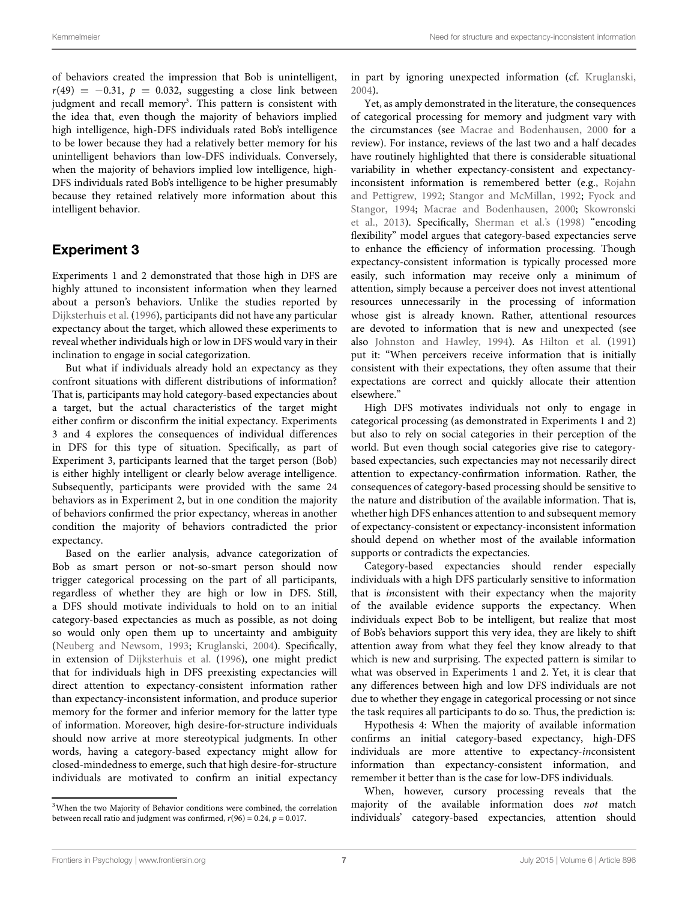of behaviors created the impression that Bob is unintelligent,  $r(49) = -0.31$ ,  $p = 0.032$ , suggesting a close link between judgment and recall memory<sup>3</sup>. This pattern is consistent with the idea that, even though the majority of behaviors implied high intelligence, high-DFS individuals rated Bob's intelligence to be lower because they had a relatively better memory for his unintelligent behaviors than low-DFS individuals. Conversely, when the majority of behaviors implied low intelligence, high-DFS individuals rated Bob's intelligence to be higher presumably because they retained relatively more information about this intelligent behavior.

## Experiment 3

Experiments 1 and 2 demonstrated that those high in DFS are highly attuned to inconsistent information when they learned about a person's behaviors. Unlike the studies reported by [Dijksterhuis et al.](#page-13-4) [\(1996](#page-13-4)), participants did not have any particular expectancy about the target, which allowed these experiments to reveal whether individuals high or low in DFS would vary in their inclination to engage in social categorization.

But what if individuals already hold an expectancy as they confront situations with different distributions of information? That is, participants may hold category-based expectancies about a target, but the actual characteristics of the target might either confirm or disconfirm the initial expectancy. Experiments 3 and 4 explores the consequences of individual differences in DFS for this type of situation. Specifically, as part of Experiment 3, participants learned that the target person (Bob) is either highly intelligent or clearly below average intelligence. Subsequently, participants were provided with the same 24 behaviors as in Experiment 2, but in one condition the majority of behaviors confirmed the prior expectancy, whereas in another condition the majority of behaviors contradicted the prior expectancy.

Based on the earlier analysis, advance categorization of Bob as smart person or not-so-smart person should now trigger categorical processing on the part of all participants, regardless of whether they are high or low in DFS. Still, a DFS should motivate individuals to hold on to an initial category-based expectancies as much as possible, as not doing so would only open them up to uncertainty and ambiguity [\(Neuberg and Newsom, 1993;](#page-14-9) [Kruglanski](#page-14-1), [2004](#page-14-1)). Specifically, in extension of [Dijksterhuis et al.](#page-13-4) [\(1996\)](#page-13-4), one might predict that for individuals high in DFS preexisting expectancies will direct attention to expectancy-consistent information rather than expectancy-inconsistent information, and produce superior memory for the former and inferior memory for the latter type of information. Moreover, high desire-for-structure individuals should now arrive at more stereotypical judgments. In other words, having a category-based expectancy might allow for closed-mindedness to emerge, such that high desire-for-structure individuals are motivated to confirm an initial expectancy

in part by ignoring unexpected information (cf. [Kruglanski](#page-14-1), [2004](#page-14-1)).

Yet, as amply demonstrated in the literature, the consequences of categorical processing for memory and judgment vary with the circumstances (see [Macrae and Bodenhausen](#page-14-12), [2000](#page-14-12) for a review). For instance, reviews of the last two and a half decades have routinely highlighted that there is considerable situational variability in whether expectancy-consistent and expectancyinconsistent [information is remembered better \(e.g.,](#page-14-23) Rojahn and Pettigrew, [1992;](#page-14-23) [Stangor and McMillan, 1992](#page-14-18)[;](#page-13-20) Fyock and Stangor, [1994](#page-13-20); [Macrae and Bodenhausen](#page-14-12)[,](#page-14-24) [2000](#page-14-12)[;](#page-14-24) Skowronski et al., [2013](#page-14-24)). Specifically, [Sherman et al.](#page-14-25)'s [\(1998\)](#page-14-25) "encoding flexibility" model argues that category-based expectancies serve to enhance the efficiency of information processing. Though expectancy-consistent information is typically processed more easily, such information may receive only a minimum of attention, simply because a perceiver does not invest attentional resources unnecessarily in the processing of information whose gist is already known. Rather, attentional resources are devoted to information that is new and unexpected (see also [Johnston and Hawley](#page-13-21), [1994](#page-13-21)). As [Hilton et al.](#page-13-22) [\(1991](#page-13-22)) put it: "When perceivers receive information that is initially consistent with their expectations, they often assume that their expectations are correct and quickly allocate their attention elsewhere."

High DFS motivates individuals not only to engage in categorical processing (as demonstrated in Experiments 1 and 2) but also to rely on social categories in their perception of the world. But even though social categories give rise to categorybased expectancies, such expectancies may not necessarily direct attention to expectancy-confirmation information. Rather, the consequences of category-based processing should be sensitive to the nature and distribution of the available information. That is, whether high DFS enhances attention to and subsequent memory of expectancy-consistent or expectancy-inconsistent information should depend on whether most of the available information supports or contradicts the expectancies.

Category-based expectancies should render especially individuals with a high DFS particularly sensitive to information that is *in*consistent with their expectancy when the majority of the available evidence supports the expectancy. When individuals expect Bob to be intelligent, but realize that most of Bob's behaviors support this very idea, they are likely to shift attention away from what they feel they know already to that which is new and surprising. The expected pattern is similar to what was observed in Experiments 1 and 2. Yet, it is clear that any differences between high and low DFS individuals are not due to whether they engage in categorical processing or not since the task requires all participants to do so. Thus, the prediction is:

Hypothesis 4: When the majority of available information confirms an initial category-based expectancy, high-DFS individuals are more attentive to expectancy-*in*consistent information than expectancy-consistent information, and remember it better than is the case for low-DFS individuals.

When, however, cursory processing reveals that the majority of the available information does *not* match individuals' category-based expectancies, attention should

<span id="page-6-0"></span><sup>&</sup>lt;sup>3</sup>When the two Majority of Behavior conditions were combined, the correlation between recall ratio and judgment was confirmed,  $r(96) = 0.24$ ,  $p = 0.017$ .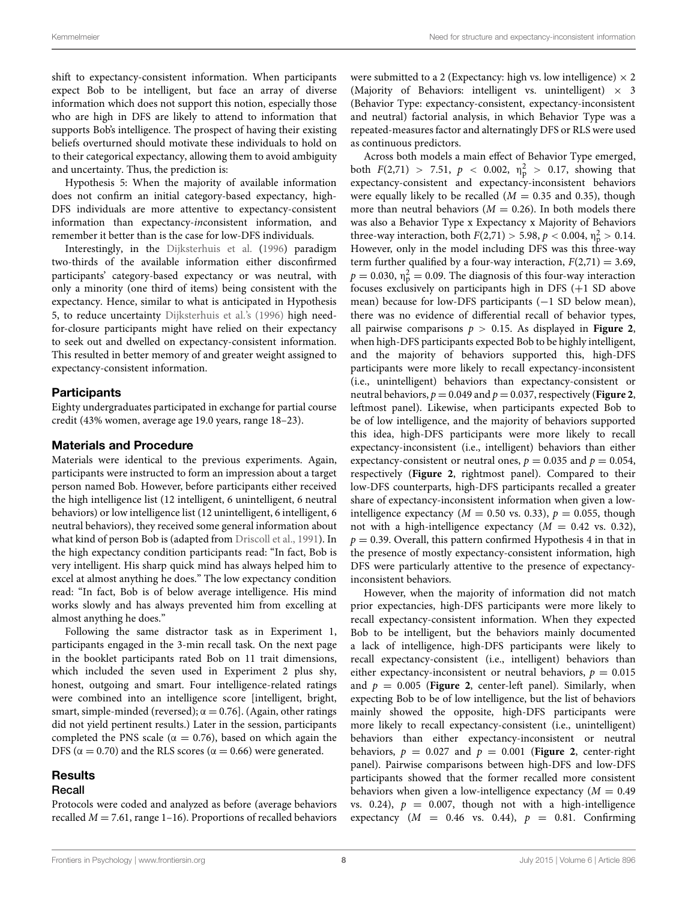shift to expectancy-consistent information. When participants expect Bob to be intelligent, but face an array of diverse information which does not support this notion, especially those who are high in DFS are likely to attend to information that supports Bob's intelligence. The prospect of having their existing beliefs overturned should motivate these individuals to hold on to their categorical expectancy, allowing them to avoid ambiguity and uncertainty. Thus, the prediction is:

Hypothesis 5: When the majority of available information does not confirm an initial category-based expectancy, high-DFS individuals are more attentive to expectancy-consistent information than expectancy-*in*consistent information, and remember it better than is the case for low-DFS individuals.

Interestingly, in the [Dijksterhuis et al.](#page-13-4) [\(1996\)](#page-13-4) paradigm two-thirds of the available information either disconfirmed participants' category-based expectancy or was neutral, with only a minority (one third of items) being consistent with the expectancy. Hence, similar to what is anticipated in Hypothesis 5, to reduce uncertainty [Dijksterhuis et al.'](#page-13-4)s [\(1996](#page-13-4)) high needfor-closure participants might have relied on their expectancy to seek out and dwelled on expectancy-consistent information. This resulted in better memory of and greater weight assigned to expectancy-consistent information.

#### **Participants**

Eighty undergraduates participated in exchange for partial course credit (43% women, average age 19.0 years, range 18–23).

#### Materials and Procedure

Materials were identical to the previous experiments. Again, participants were instructed to form an impression about a target person named Bob. However, before participants either received the high intelligence list (12 intelligent, 6 unintelligent, 6 neutral behaviors) or low intelligence list (12 unintelligent, 6 intelligent, 6 neutral behaviors), they received some general information about what kind of person Bob is (adapted from [Driscoll et al.](#page-13-3), [1991\)](#page-13-3). In the high expectancy condition participants read: "In fact, Bob is very intelligent. His sharp quick mind has always helped him to excel at almost anything he does." The low expectancy condition read: "In fact, Bob is of below average intelligence. His mind works slowly and has always prevented him from excelling at almost anything he does."

Following the same distractor task as in Experiment 1, participants engaged in the 3-min recall task. On the next page in the booklet participants rated Bob on 11 trait dimensions, which included the seven used in Experiment 2 plus shy, honest, outgoing and smart. Four intelligence-related ratings were combined into an intelligence score [intelligent, bright, smart, simple-minded (reversed);  $\alpha = 0.76$ ]. (Again, other ratings did not yield pertinent results.) Later in the session, participants completed the PNS scale ( $\alpha = 0.76$ ), based on which again the DFS ( $\alpha = 0.70$ ) and the RLS scores ( $\alpha = 0.66$ ) were generated.

# **Results**

#### Recall

Protocols were coded and analyzed as before (average behaviors recalled  $M = 7.61$ , range 1–16). Proportions of recalled behaviors

were submitted to a 2 (Expectancy: high vs. low intelligence)  $\times$  2 (Majority of Behaviors: intelligent vs. unintelligent)  $\times$  3 (Behavior Type: expectancy-consistent, expectancy-inconsistent and neutral) factorial analysis, in which Behavior Type was a repeated-measures factor and alternatingly DFS or RLS were used as continuous predictors.

Across both models a main effect of Behavior Type emerged, both  $F(2,71) > 7.51$ ,  $p < 0.002$ ,  $\eta_p^2 > 0.17$ , showing that expectancy-consistent and expectancy-inconsistent behaviors were equally likely to be recalled  $(M = 0.35$  and 0.35), though more than neutral behaviors  $(M = 0.26)$ . In both models there was also a Behavior Type x Expectancy x Majority of Behaviors three-way interaction, both  $F(2,71) > 5.98$ ,  $p < 0.004$ ,  $\eta_{p}^{2} > 0.14$ . However, only in the model including DFS was this three-way term further qualified by a four-way interaction,  $F(2,71) = 3.69$ ,  $p = 0.030$ ,  $\eta_{\rm p}^2 = 0.09$ . The diagnosis of this four-way interaction focuses exclusively on participants high in DFS (+1 SD above mean) because for low-DFS participants (−1 SD below mean), there was no evidence of differential recall of behavior types, all pairwise comparisons  $p > 0.15$ . As displayed in **[Figure 2](#page-8-0)**, when high-DFS participants expected Bob to be highly intelligent, and the majority of behaviors supported this, high-DFS participants were more likely to recall expectancy-inconsistent (i.e., unintelligent) behaviors than expectancy-consistent or neutral behaviors,  $p = 0.049$  and  $p = 0.037$ , respectively (**[Figure 2](#page-8-0)**, leftmost panel). Likewise, when participants expected Bob to be of low intelligence, and the majority of behaviors supported this idea, high-DFS participants were more likely to recall expectancy-inconsistent (i.e., intelligent) behaviors than either expectancy-consistent or neutral ones,  $p = 0.035$  and  $p = 0.054$ , respectively (**[Figure 2](#page-8-0)**, rightmost panel). Compared to their low-DFS counterparts, high-DFS participants recalled a greater share of expectancy-inconsistent information when given a lowintelligence expectancy ( $M = 0.50$  vs. 0.33),  $p = 0.055$ , though not with a high-intelligence expectancy  $(M = 0.42$  vs. 0.32),  $p = 0.39$ . Overall, this pattern confirmed Hypothesis 4 in that in the presence of mostly expectancy-consistent information, high DFS were particularly attentive to the presence of expectancyinconsistent behaviors.

However, when the majority of information did not match prior expectancies, high-DFS participants were more likely to recall expectancy-consistent information. When they expected Bob to be intelligent, but the behaviors mainly documented a lack of intelligence, high-DFS participants were likely to recall expectancy-consistent (i.e., intelligent) behaviors than either expectancy-inconsistent or neutral behaviors,  $p = 0.015$ and  $p = 0.005$  ([Figure 2](#page-8-0), center-left panel). Similarly, when expecting Bob to be of low intelligence, but the list of behaviors mainly showed the opposite, high-DFS participants were more likely to recall expectancy-consistent (i.e., unintelligent) behaviors than either expectancy-inconsistent or neutral behaviors,  $p = 0.027$  and  $p = 0.001$  (**[Figure 2](#page-8-0)**, center-right panel). Pairwise comparisons between high-DFS and low-DFS participants showed that the former recalled more consistent behaviors when given a low-intelligence expectancy  $(M = 0.49)$ vs. 0.24),  $p = 0.007$ , though not with a high-intelligence expectancy  $(M = 0.46 \text{ vs. } 0.44)$ ,  $p = 0.81$ . Confirming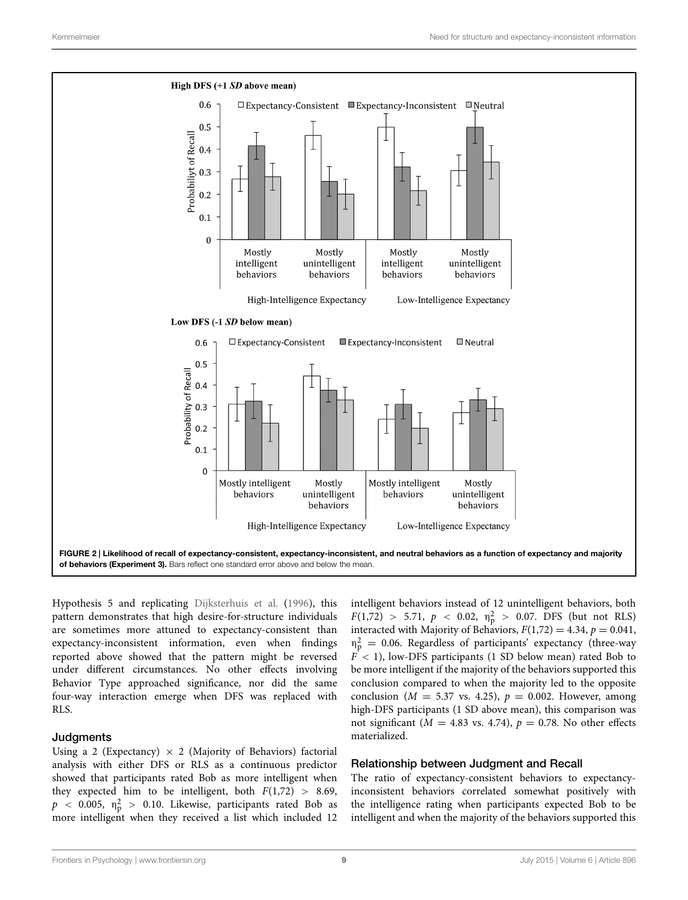

<span id="page-8-0"></span>Hypothesis 5 and replicating [Dijksterhuis et al.](#page-13-4) [\(1996](#page-13-4)), this pattern demonstrates that high desire-for-structure individuals are sometimes more attuned to expectancy-consistent than expectancy-inconsistent information, even when findings reported above showed that the pattern might be reversed under different circumstances. No other effects involving Behavior Type approached significance, nor did the same four-way interaction emerge when DFS was replaced with RLS.

#### **Judgments**

Using a 2 (Expectancy)  $\times$  2 (Majority of Behaviors) factorial analysis with either DFS or RLS as a continuous predictor showed that participants rated Bob as more intelligent when they expected him to be intelligent, both  $F(1,72) > 8.69$ ,  $p$  < 0.005,  $\eta_{\rm p}^2$  > 0.10. Likewise, participants rated Bob as more intelligent when they received a list which included 12

intelligent behaviors instead of 12 unintelligent behaviors, both  $F(1,72) > 5.71, p < 0.02, \eta_p^2 > 0.07.$  DFS (but not RLS) interacted with Majority of Behaviors,  $F(1,72) = 4.34$ ,  $p = 0.041$ ,  $\eta_{\rm p}^2$  = 0.06. Regardless of participants' expectancy (three-way  $F < 1$ ), low-DFS participants (1 SD below mean) rated Bob to be more intelligent if the majority of the behaviors supported this conclusion compared to when the majority led to the opposite conclusion ( $M = 5.37$  vs. 4.25),  $p = 0.002$ . However, among high-DFS participants (1 SD above mean), this comparison was not significant ( $M = 4.83$  vs. 4.74),  $p = 0.78$ . No other effects materialized.

#### Relationship between Judgment and Recall

The ratio of expectancy-consistent behaviors to expectancyinconsistent behaviors correlated somewhat positively with the intelligence rating when participants expected Bob to be intelligent and when the majority of the behaviors supported this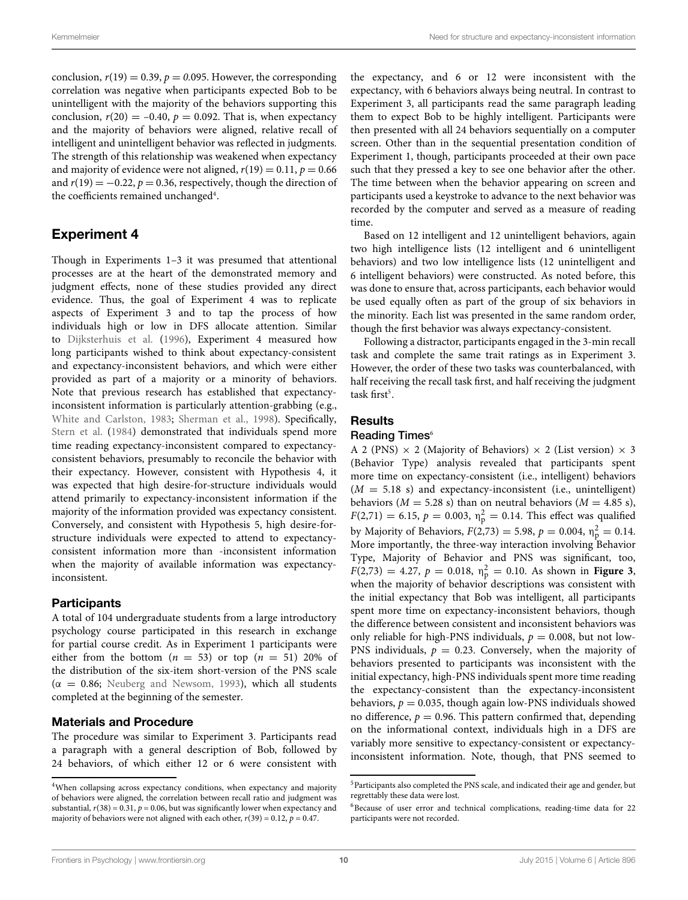conclusion,  $r(19) = 0.39$ ,  $p = 0.095$ . However, the corresponding correlation was negative when participants expected Bob to be unintelligent with the majority of the behaviors supporting this conclusion,  $r(20) = -0.40$ ,  $p = 0.092$ . That is, when expectancy and the majority of behaviors were aligned, relative recall of intelligent and unintelligent behavior was reflected in judgments. The strength of this relationship was weakened when expectancy and majority of evidence were not aligned,  $r(19) = 0.11$ ,  $p = 0.66$ and  $r(19) = -0.22$ ,  $p = 0.36$ , respectively, though the direction of the coefficients remained unchanged<sup>4</sup>.

# Experiment 4

Though in Experiments 1–3 it was presumed that attentional processes are at the heart of the demonstrated memory and judgment effects, none of these studies provided any direct evidence. Thus, the goal of Experiment 4 was to replicate aspects of Experiment 3 and to tap the process of how individuals high or low in DFS allocate attention. Similar to [Dijksterhuis et al.](#page-13-4) [\(1996\)](#page-13-4), Experiment 4 measured how long participants wished to think about expectancy-consistent and expectancy-inconsistent behaviors, and which were either provided as part of a majority or a minority of behaviors. Note that previous research has established that expectancyinconsistent information is particularly attention-grabbing (e.g., [White and Carlston](#page-14-26), [1983](#page-14-26); [Sherman et al., 1998](#page-14-25)). Specifically, [Stern et al.](#page-14-21) [\(1984](#page-14-21)) demonstrated that individuals spend more time reading expectancy-inconsistent compared to expectancyconsistent behaviors, presumably to reconcile the behavior with their expectancy. However, consistent with Hypothesis 4, it was expected that high desire-for-structure individuals would attend primarily to expectancy-inconsistent information if the majority of the information provided was expectancy consistent. Conversely, and consistent with Hypothesis 5, high desire-forstructure individuals were expected to attend to expectancyconsistent information more than -inconsistent information when the majority of available information was expectancyinconsistent.

#### **Participants**

A total of 104 undergraduate students from a large introductory psychology course participated in this research in exchange for partial course credit. As in Experiment 1 participants were either from the bottom  $(n = 53)$  or top  $(n = 51)$  20% of the distribution of the six-item short-version of the PNS scale  $(α = 0.86;$  [Neuberg and Newsom, 1993\)](#page-14-9), which all students completed at the beginning of the semester.

#### Materials and Procedure

The procedure was similar to Experiment 3. Participants read a paragraph with a general description of Bob, followed by 24 behaviors, of which either 12 or 6 were consistent with the expectancy, and 6 or 12 were inconsistent with the expectancy, with 6 behaviors always being neutral. In contrast to Experiment 3, all participants read the same paragraph leading them to expect Bob to be highly intelligent. Participants were then presented with all 24 behaviors sequentially on a computer screen. Other than in the sequential presentation condition of Experiment 1, though, participants proceeded at their own pace such that they pressed a key to see one behavior after the other. The time between when the behavior appearing on screen and participants used a keystroke to advance to the next behavior was recorded by the computer and served as a measure of reading time.

Based on 12 intelligent and 12 unintelligent behaviors, again two high intelligence lists (12 intelligent and 6 unintelligent behaviors) and two low intelligence lists (12 unintelligent and 6 intelligent behaviors) were constructed. As noted before, this was done to ensure that, across participants, each behavior would be used equally often as part of the group of six behaviors in the minority. Each list was presented in the same random order, though the first behavior was always expectancy-consistent.

Following a distractor, participants engaged in the 3-min recall task and complete the same trait ratings as in Experiment 3. However, the order of these two tasks was counterbalanced, with half receiving the recall task first, and half receiving the judgment  $task first<sup>5</sup>$ .

#### **Results**

#### Reading Times<sup>[6](#page-9-2)</sup>

A 2 (PNS)  $\times$  2 (Majority of Behaviors)  $\times$  2 (List version)  $\times$  3 (Behavior Type) analysis revealed that participants spent more time on expectancy-consistent (i.e., intelligent) behaviors  $(M = 5.18 \text{ s})$  and expectancy-inconsistent (i.e., unintelligent) behaviors ( $M = 5.28$  s) than on neutral behaviors ( $M = 4.85$  s),  $F(2,71) = 6.15, p = 0.003, \eta_{\rm p}^2 = 0.14$ . This effect was qualified by Majority of Behaviors,  $F(2,73) = 5.98$ ,  $p = 0.004$ ,  $\eta_p^2 = 0.14$ . More importantly, the three-way interaction involving Behavior Type, Majority of Behavior and PNS was significant, too,  $F(2,73) = 4.27$ ,  $p = 0.018$ ,  $n_p^2 = 0.10$ . As shown in **[Figure 3](#page-10-0)**, when the majority of behavior descriptions was consistent with when the majority of behavior descriptions was consistent with the initial expectancy that Bob was intelligent, all participants spent more time on expectancy-inconsistent behaviors, though the difference between consistent and inconsistent behaviors was only reliable for high-PNS individuals,  $p = 0.008$ , but not low-PNS individuals,  $p = 0.23$ . Conversely, when the majority of behaviors presented to participants was inconsistent with the initial expectancy, high-PNS individuals spent more time reading the expectancy-consistent than the expectancy-inconsistent behaviors,  $p = 0.035$ , though again low-PNS individuals showed no difference,  $p = 0.96$ . This pattern confirmed that, depending on the informational context, individuals high in a DFS are variably more sensitive to expectancy-consistent or expectancyinconsistent information. Note, though, that PNS seemed to

<span id="page-9-0"></span><sup>4</sup>When collapsing across expectancy conditions, when expectancy and majority of behaviors were aligned, the correlation between recall ratio and judgment was substantial,  $r(38) = 0.31$ ,  $p = 0.06$ , but was significantly lower when expectancy and majority of behaviors were not aligned with each other,  $r(39) = 0.12$ ,  $p = 0.47$ .

<span id="page-9-1"></span><sup>&</sup>lt;sup>5</sup>Participants also completed the PNS scale, and indicated their age and gender, but regrettably these data were lost.

<span id="page-9-2"></span> $6$ Because of user error and technical complications, reading-time data for 22 participants were not recorded.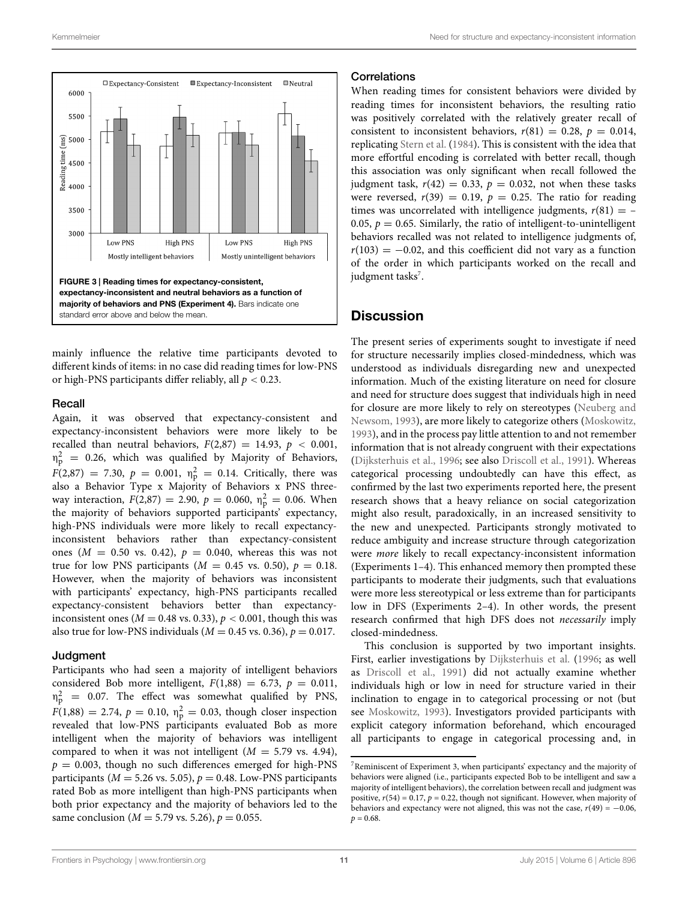

<span id="page-10-0"></span>mainly influence the relative time participants devoted to different kinds of items: in no case did reading times for low-PNS or high-PNS participants differ reliably, all *p <* 0.23.

#### Recall

Again, it was observed that expectancy-consistent and expectancy-inconsistent behaviors were more likely to be recalled than neutral behaviors,  $F(2,87) = 14.93$ ,  $p < 0.001$ ,  $\eta_{\rm p}^2$  = 0.26, which was qualified by Majority of Behaviors,  $F(2,87) = 7.30, p = 0.001, \eta_{\rm p}^2 = 0.14$ . Critically, there was also a Behavior Type x Majority of Behaviors x PNS threeway interaction,  $F(2,87) = 2.90$ ,  $p = 0.060$ ,  $\eta_p^2 = 0.06$ . When the majority of behaviors supported participants' expectancy, high-PNS individuals were more likely to recall expectancyinconsistent behaviors rather than expectancy-consistent ones ( $M = 0.50$  vs. 0.42),  $p = 0.040$ , whereas this was not true for low PNS participants ( $M = 0.45$  vs. 0.50),  $p = 0.18$ . However, when the majority of behaviors was inconsistent with participants' expectancy, high-PNS participants recalled expectancy-consistent behaviors better than expectancyinconsistent ones ( $M = 0.48$  vs. 0.33),  $p < 0.001$ , though this was also true for low-PNS individuals ( $M = 0.45$  vs. 0.36),  $p = 0.017$ .

#### Judgment

Participants who had seen a majority of intelligent behaviors considered Bob more intelligent,  $F(1,88) = 6.73$ ,  $p = 0.011$ ,  $\eta_{\rm p}^2$  = 0.07. The effect was somewhat qualified by PNS,  $F(1,88) = 2.74, p = 0.10, \eta_{\rm p}^2 = 0.03$ , though closer inspection revealed that low-PNS participants evaluated Bob as more intelligent when the majority of behaviors was intelligent compared to when it was not intelligent  $(M = 5.79$  vs. 4.94),  $p = 0.003$ , though no such differences emerged for high-PNS participants ( $M = 5.26$  vs. 5.05),  $p = 0.48$ . Low-PNS participants rated Bob as more intelligent than high-PNS participants when both prior expectancy and the majority of behaviors led to the same conclusion ( $M = 5.79$  vs. 5.26),  $p = 0.055$ .

#### **Correlations**

When reading times for consistent behaviors were divided by reading times for inconsistent behaviors, the resulting ratio was positively correlated with the relatively greater recall of consistent to inconsistent behaviors,  $r(81) = 0.28$ ,  $p = 0.014$ , replicating [Stern et al.](#page-14-21) [\(1984\)](#page-14-21). This is consistent with the idea that more effortful encoding is correlated with better recall, though this association was only significant when recall followed the judgment task,  $r(42) = 0.33$ ,  $p = 0.032$ , not when these tasks were reversed,  $r(39) = 0.19$ ,  $p = 0.25$ . The ratio for reading times was uncorrelated with intelligence judgments,  $r(81) = -$ 0.05,  $p = 0.65$ . Similarly, the ratio of intelligent-to-unintelligent behaviors recalled was not related to intelligence judgments of,  $r(103) = -0.02$ , and this coefficient did not vary as a function of the order in which participants worked on the recall and judgment tasks<sup>7</sup>.

### **Discussion**

The present series of experiments sought to investigate if need for structure necessarily implies closed-mindedness, which was understood as individuals disregarding new and unexpected information. Much of the existing literature on need for closure and need for structure does suggest that individuals high in need for closu[re are more likely to rely on stereotypes \(](#page-14-9)Neuberg and Newsom, [1993](#page-14-9)), are more likely to categorize others [\(Moskowitz](#page-14-13), [1993](#page-14-13)), and in the process pay little attention to and not remember information that is not already congruent with their expectations [\(Dijksterhuis et al., 1996;](#page-13-4) see also [Driscoll et al., 1991\)](#page-13-3). Whereas categorical processing undoubtedly can have this effect, as confirmed by the last two experiments reported here, the present research shows that a heavy reliance on social categorization might also result, paradoxically, in an increased sensitivity to the new and unexpected. Participants strongly motivated to reduce ambiguity and increase structure through categorization were *more* likely to recall expectancy-inconsistent information (Experiments 1–4). This enhanced memory then prompted these participants to moderate their judgments, such that evaluations were more less stereotypical or less extreme than for participants low in DFS (Experiments 2–4). In other words, the present research confirmed that high DFS does not *necessarily* imply closed-mindedness.

This conclusion is supported by two important insights. First, earlier investigations by [Dijksterhuis et al.](#page-13-4) [\(1996](#page-13-4); as well as [Driscoll et al., 1991\)](#page-13-3) did not actually examine whether individuals high or low in need for structure varied in their inclination to engage in to categorical processing or not (but see [Moskowitz](#page-14-13), [1993](#page-14-13)). Investigators provided participants with explicit category information beforehand, which encouraged all participants to engage in categorical processing and, in

<span id="page-10-1"></span><sup>7</sup>Reminiscent of Experiment 3, when participants' expectancy and the majority of behaviors were aligned (i.e., participants expected Bob to be intelligent and saw a majority of intelligent behaviors), the correlation between recall and judgment was positive,  $r(54) = 0.17$ ,  $p = 0.22$ , though not significant. However, when majority of behaviors and expectancy were not aligned, this was not the case,  $r(49) = -0.06$ ,  $p = 0.68$ .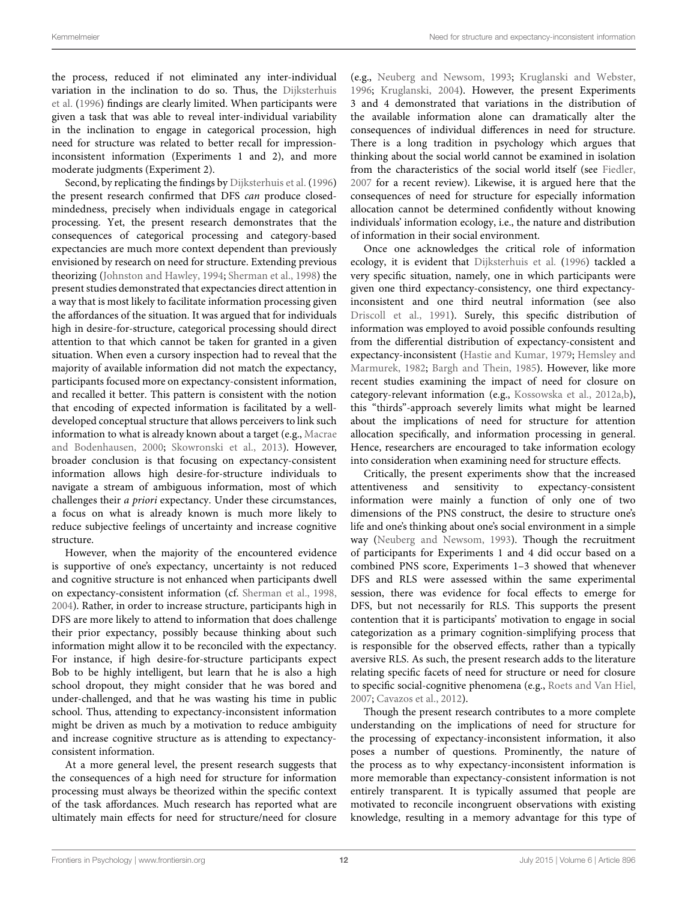the process, reduced if not eliminated any inter-individual vari[ation](#page-13-4) [in](#page-13-4) [the](#page-13-4) [inclination](#page-13-4) [to](#page-13-4) [do](#page-13-4) [so.](#page-13-4) [Thus,](#page-13-4) [the](#page-13-4) Dijksterhuis et al. [\(1996\)](#page-13-4) findings are clearly limited. When participants were given a task that was able to reveal inter-individual variability in the inclination to engage in categorical procession, high need for structure was related to better recall for impressioninconsistent information (Experiments 1 and 2), and more moderate judgments (Experiment 2).

Second, by replicating the findings by [Dijksterhuis et al.](#page-13-4) [\(1996](#page-13-4)) the present research confirmed that DFS *can* produce closedmindedness, precisely when individuals engage in categorical processing. Yet, the present research demonstrates that the consequences of categorical processing and category-based expectancies are much more context dependent than previously envisioned by research on need for structure. Extending previous theorizing [\(Johnston and Hawley](#page-13-21), [1994](#page-13-21); [Sherman et al., 1998](#page-14-25)) the present studies demonstrated that expectancies direct attention in a way that is most likely to facilitate information processing given the affordances of the situation. It was argued that for individuals high in desire-for-structure, categorical processing should direct attention to that which cannot be taken for granted in a given situation. When even a cursory inspection had to reveal that the majority of available information did not match the expectancy, participants focused more on expectancy-consistent information, and recalled it better. This pattern is consistent with the notion that encoding of expected information is facilitated by a welldeveloped conceptual structure that allows perceivers to link such information to wh[at](#page-14-12) [is](#page-14-12) [already](#page-14-12) [known](#page-14-12) [about](#page-14-12) [a](#page-14-12) [target](#page-14-12) [\(e.g.,](#page-14-12) Macrae and Bodenhausen, [2000](#page-14-12); [Skowronski et al.](#page-14-24), [2013\)](#page-14-24). However, broader conclusion is that focusing on expectancy-consistent information allows high desire-for-structure individuals to navigate a stream of ambiguous information, most of which challenges their *a priori* expectancy. Under these circumstances, a focus on what is already known is much more likely to reduce subjective feelings of uncertainty and increase cognitive structure.

However, when the majority of the encountered evidence is supportive of one's expectancy, uncertainty is not reduced and cognitive structure is not enhanced when participants dwell on expectancy-consistent information (cf. [Sherman et al., 1998](#page-14-25), [2004](#page-14-27)). Rather, in order to increase structure, participants high in DFS are more likely to attend to information that does challenge their prior expectancy, possibly because thinking about such information might allow it to be reconciled with the expectancy. For instance, if high desire-for-structure participants expect Bob to be highly intelligent, but learn that he is also a high school dropout, they might consider that he was bored and under-challenged, and that he was wasting his time in public school. Thus, attending to expectancy-inconsistent information might be driven as much by a motivation to reduce ambiguity and increase cognitive structure as is attending to expectancyconsistent information.

At a more general level, the present research suggests that the consequences of a high need for structure for information processing must always be theorized within the specific context of the task affordances. Much research has reported what are ultimately main effects for need for structure/need for closure

(e.g., [Neuberg and Newsom](#page-14-9), [1993;](#page-14-9) [Kruglanski and Webster](#page-14-14), [1996;](#page-14-14) [Kruglanski](#page-14-1), [2004](#page-14-1)). However, the present Experiments 3 and 4 demonstrated that variations in the distribution of the available information alone can dramatically alter the consequences of individual differences in need for structure. There is a long tradition in psychology which argues that thinking about the social world cannot be examined in isolation from the characteristics of the social world itself (see [Fiedler](#page-13-23), [2007](#page-13-23) for a recent review). Likewise, it is argued here that the consequences of need for structure for especially information allocation cannot be determined confidently without knowing individuals' information ecology, i.e., the nature and distribution of information in their social environment.

Once one acknowledges the critical role of information ecology, it is evident that [Dijksterhuis et al.](#page-13-4) [\(1996](#page-13-4)) tackled a very specific situation, namely, one in which participants were given one third expectancy-consistency, one third expectancyinconsistent and one third neutral information (see also [Driscoll et al., 1991\)](#page-13-3). Surely, this specific distribution of information was employed to avoid possible confounds resulting from the differential distribution of expectancy-consistent and expectanc[y-inconsistent](#page-13-17) [\(Hastie and Kumar](#page-13-14)[,](#page-13-17) [1979](#page-13-14)[;](#page-13-17) Hemsley and Marmurek, [1982](#page-13-17); [Bargh and Thein, 1985](#page-13-18)). However, like more recent studies examining the impact of need for closure on category-relevant information (e.g., [Kossowska et al., 2012a](#page-14-28)[,b\)](#page-14-29), this "thirds"-approach severely limits what might be learned about the implications of need for structure for attention allocation specifically, and information processing in general. Hence, researchers are encouraged to take information ecology into consideration when examining need for structure effects.

Critically, the present experiments show that the increased attentiveness and sensitivity to expectancy-consistent information were mainly a function of only one of two dimensions of the PNS construct, the desire to structure one's life and one's thinking about one's social environment in a simple way [\(Neuberg and Newsom](#page-14-9), [1993](#page-14-9)). Though the recruitment of participants for Experiments 1 and 4 did occur based on a combined PNS score, Experiments 1–3 showed that whenever DFS and RLS were assessed within the same experimental session, there was evidence for focal effects to emerge for DFS, but not necessarily for RLS. This supports the present contention that it is participants' motivation to engage in social categorization as a primary cognition-simplifying process that is responsible for the observed effects, rather than a typically aversive RLS. As such, the present research adds to the literature relating specific facets of need for structure or need for closure to specific social-cognitive phenomena (e.g., [Roets and Van Hiel](#page-14-30), [2007;](#page-14-30) [Cavazos et al.](#page-13-15), [2012\)](#page-13-15).

Though the present research contributes to a more complete understanding on the implications of need for structure for the processing of expectancy-inconsistent information, it also poses a number of questions. Prominently, the nature of the process as to why expectancy-inconsistent information is more memorable than expectancy-consistent information is not entirely transparent. It is typically assumed that people are motivated to reconcile incongruent observations with existing knowledge, resulting in a memory advantage for this type of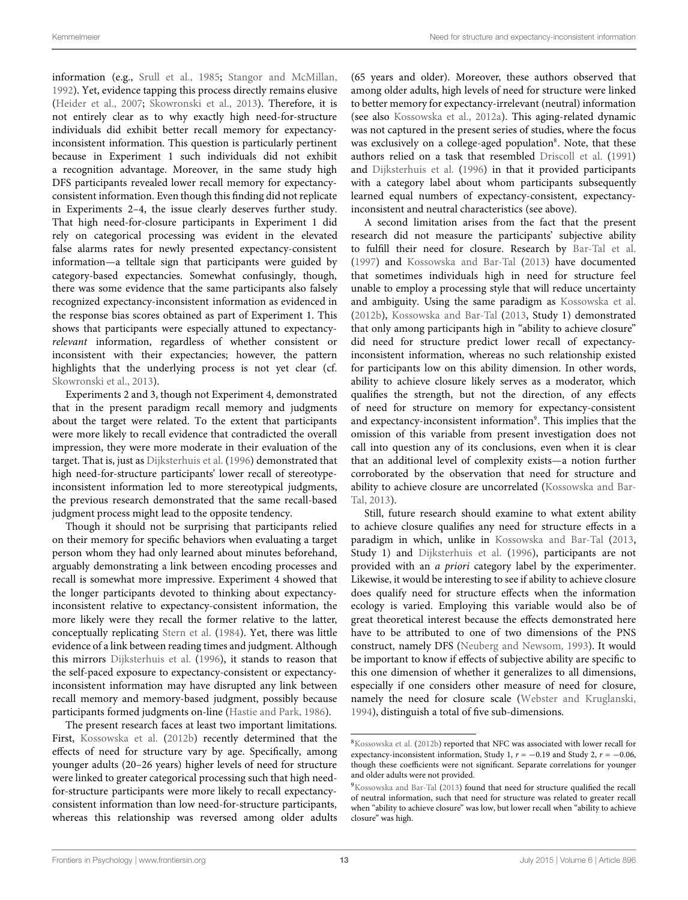information (e.g., [Srull et al., 1985](#page-14-20); [Stangor and McMillan,](#page-14-18) [1992](#page-14-18)). Yet, evidence tapping this process directly remains elusive [\(Heider et al., 2007](#page-13-16); [Skowronski et al.](#page-14-24), [2013\)](#page-14-24). Therefore, it is not entirely clear as to why exactly high need-for-structure individuals did exhibit better recall memory for expectancyinconsistent information. This question is particularly pertinent because in Experiment 1 such individuals did not exhibit a recognition advantage. Moreover, in the same study high DFS participants revealed lower recall memory for expectancyconsistent information. Even though this finding did not replicate in Experiments 2–4, the issue clearly deserves further study. That high need-for-closure participants in Experiment 1 did rely on categorical processing was evident in the elevated false alarms rates for newly presented expectancy-consistent information—a telltale sign that participants were guided by category-based expectancies. Somewhat confusingly, though, there was some evidence that the same participants also falsely recognized expectancy-inconsistent information as evidenced in the response bias scores obtained as part of Experiment 1. This shows that participants were especially attuned to expectancy*relevant* information, regardless of whether consistent or inconsistent with their expectancies; however, the pattern highlights that the underlying process is not yet clear (cf. [Skowronski et al.](#page-14-24), [2013\)](#page-14-24).

Experiments 2 and 3, though not Experiment 4, demonstrated that in the present paradigm recall memory and judgments about the target were related. To the extent that participants were more likely to recall evidence that contradicted the overall impression, they were more moderate in their evaluation of the target. That is, just as [Dijksterhuis et al.](#page-13-4) [\(1996\)](#page-13-4) demonstrated that high need-for-structure participants' lower recall of stereotypeinconsistent information led to more stereotypical judgments, the previous research demonstrated that the same recall-based judgment process might lead to the opposite tendency.

Though it should not be surprising that participants relied on their memory for specific behaviors when evaluating a target person whom they had only learned about minutes beforehand, arguably demonstrating a link between encoding processes and recall is somewhat more impressive. Experiment 4 showed that the longer participants devoted to thinking about expectancyinconsistent relative to expectancy-consistent information, the more likely were they recall the former relative to the latter, conceptually replicating [Stern et al.](#page-14-21) [\(1984\)](#page-14-21). Yet, there was little evidence of a link between reading times and judgment. Although this mirrors [Dijksterhuis et al.](#page-13-4) [\(1996](#page-13-4)), it stands to reason that the self-paced exposure to expectancy-consistent or expectancyinconsistent information may have disrupted any link between recall memory and memory-based judgment, possibly because participants formed judgments on-line [\(Hastie and Park, 1986](#page-13-24)).

The present research faces at least two important limitations. First, [Kossowska et al.](#page-14-29) [\(2012b\)](#page-14-29) recently determined that the effects of need for structure vary by age. Specifically, among younger adults (20–26 years) higher levels of need for structure were linked to greater categorical processing such that high needfor-structure participants were more likely to recall expectancyconsistent information than low need-for-structure participants, whereas this relationship was reversed among older adults

(65 years and older). Moreover, these authors observed that among older adults, high levels of need for structure were linked to better memory for expectancy-irrelevant (neutral) information (see also [Kossowska et al., 2012a\)](#page-14-28). This aging-related dynamic was not captured in the present series of studies, where the focus was exclusively on a college-aged population<sup>8</sup>. Note, that these authors relied on a task that resembled [Driscoll et al.](#page-13-3) [\(1991](#page-13-3)) and [Dijksterhuis et al.](#page-13-4) [\(1996\)](#page-13-4) in that it provided participants with a category label about whom participants subsequently learned equal numbers of expectancy-consistent, expectancyinconsistent and neutral characteristics (see above).

A second limitation arises from the fact that the present research did not measure the participants' subjective ability to fulfill their need for closure. Research by [Bar-Tal et al.](#page-13-25) [\(1997](#page-13-25)) and [Kossowska and Bar-Tal](#page-14-31) [\(2013](#page-14-31)) have documented that sometimes individuals high in need for structure feel unable to employ a processing style that will reduce uncertainty and ambiguity. Using the same paradigm as [Kossowska et al.](#page-14-29) [\(2012b](#page-14-29)), [Kossowska and Bar-Tal](#page-14-31) [\(2013](#page-14-31), Study 1) demonstrated that only among participants high in "ability to achieve closure" did need for structure predict lower recall of expectancyinconsistent information, whereas no such relationship existed for participants low on this ability dimension. In other words, ability to achieve closure likely serves as a moderator, which qualifies the strength, but not the direction, of any effects of need for structure on memory for expectancy-consistent and expectancy-inconsistent information<sup>9</sup>. This implies that the omission of this variable from present investigation does not call into question any of its conclusions, even when it is clear that an additional level of complexity exists—a notion further corroborated by the observation that need for structure and ab[ility to achieve closure are uncorrelated \(](#page-14-31)Kossowska and Bar-Tal, [2013\)](#page-14-31).

Still, future research should examine to what extent ability to achieve closure qualifies any need for structure effects in a paradigm in which, unlike in [Kossowska and Bar-Tal](#page-14-31) [\(2013](#page-14-31), Study 1) and [Dijksterhuis et al.](#page-13-4) [\(1996\)](#page-13-4), participants are not provided with an *a priori* category label by the experimenter. Likewise, it would be interesting to see if ability to achieve closure does qualify need for structure effects when the information ecology is varied. Employing this variable would also be of great theoretical interest because the effects demonstrated here have to be attributed to one of two dimensions of the PNS construct, namely DFS [\(Neuberg and Newsom, 1993](#page-14-9)). It would be important to know if effects of subjective ability are specific to this one dimension of whether it generalizes to all dimensions, especially if one considers other measure of need for closure, namely the need for closure scale [\(Webster and Kruglanski](#page-14-3), [1994](#page-14-3)), distinguish a total of five sub-dimensions.

<span id="page-12-0"></span>[<sup>8</sup>Kossowska et al.](#page-14-29) [\(2012b\)](#page-14-29) reported that NFC was associated with lower recall for expectancy-inconsistent information, Study 1, *r* = −0.19 and Study 2, *r* = −0.06, though these coefficients were not significant. Separate correlations for younger and older adults were not provided.

<span id="page-12-1"></span><sup>&</sup>lt;sup>9</sup>Kossowska and Bar-Tal [\(2013](#page-14-31)) found that need for structure qualified the recall of neutral information, such that need for structure was related to greater recall when "ability to achieve closure" was low, but lower recall when "ability to achieve closure" was high.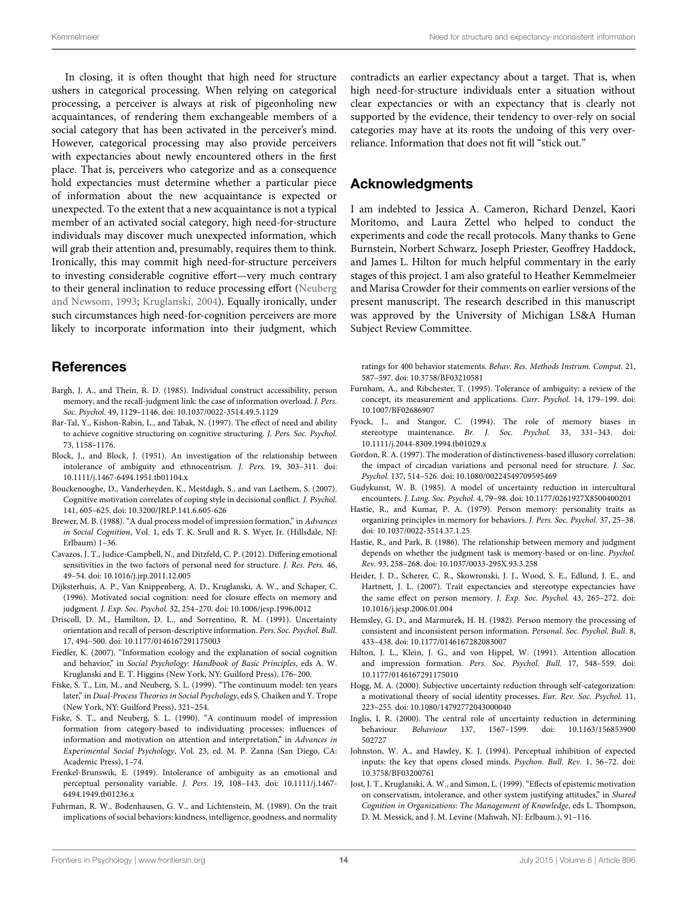In closing, it is often thought that high need for structure ushers in categorical processing. When relying on categorical processing, a perceiver is always at risk of pigeonholing new acquaintances, of rendering them exchangeable members of a social category that has been activated in the perceiver's mind. However, categorical processing may also provide perceivers with expectancies about newly encountered others in the first place. That is, perceivers who categorize and as a consequence hold expectancies must determine whether a particular piece of information about the new acquaintance is expected or unexpected. To the extent that a new acquaintance is not a typical member of an activated social category, high need-for-structure individuals may discover much unexpected information, which will grab their attention and, presumably, requires them to think. Ironically, this may commit high need-for-structure perceivers to investing considerable cognitive effort—very much contrary to their general inclination to reduce processing effort (Neuberg and Newsom, [1993;](#page-14-9) [Kruglanski](#page-14-1), [2004](#page-14-1)). Equally ironically, under such circumstances high need-for-cognition perceivers are more likely to incorporate information into their judgment, which

### **References**

- <span id="page-13-18"></span>Bargh, J. A., and Thein, R. D. (1985). Individual construct accessibility, person memory, and the recall-judgment link: the case of information overload. *J. Pers. Soc. Psychol.* 49, 1129–1146. doi: 10.1037/0022-3514.49.5.1129
- <span id="page-13-25"></span>Bar-Tal, Y., Kishon-Rabin, L., and Tabak, N. (1997). The effect of need and ability to achieve cognitive structuring on cognitive structuring. *J. Pers. Soc. Psychol.* 73, 1158–1176.
- <span id="page-13-6"></span>Block, J., and Block, J. (1951). An investigation of the relationship between intolerance of ambiguity and ethnocentrism. *J. Pers.* 19, 303–311. doi: 10.1111/j.1467-6494.1951.tb01104.x
- <span id="page-13-13"></span>Bouckenooghe, D., Vanderheyden, K., Mestdagh, S., and van Laethem, S. (2007). Cognitive motivation correlates of coping style in decisional conflict. *J. Psychol.* 141, 605–625. doi: 10.3200/JRLP.141.6.605-626
- <span id="page-13-9"></span>Brewer, M. B. (1988). "A dual process model of impression formation," in *Advances in Social Cognition*, Vol. 1, eds T. K. Srull and R. S. Wyer, Jr. (Hillsdale, NJ: Erlbaum) 1–36.
- <span id="page-13-15"></span>Cavazos, J. T., Judice-Campbell, N., and Ditzfeld, C. P. (2012). Differing emotional sensitivities in the two factors of personal need for structure. *J. Res. Pers.* 46, 49–54. doi: 10.1016/j.jrp.2011.12.005
- <span id="page-13-4"></span>Dijksterhuis, A. P., Van Knippenberg, A. D., Kruglanski, A. W., and Schaper, C. (1996). Motivated social cognition: need for closure effects on memory and judgment. *J. Exp. Soc. Psychol.* 32, 254–270. doi: 10.1006/jesp.1996.0012
- <span id="page-13-3"></span>Driscoll, D. M., Hamilton, D. L., and Sorrentino, R. M. (1991). Uncertainty orientation and recall of person-descriptive information. *Pers. Soc. Psychol. Bull.* 17, 494–500. doi: 10.1177/0146167291175003
- <span id="page-13-23"></span>Fiedler, K. (2007). "Information ecology and the explanation of social cognition and behavior," in *Social Psychology: Handbook of Basic Principles*, eds A. W. Kruglanski and E. T. Higgins (New York, NY: Guilford Press), 176–200.
- <span id="page-13-11"></span>Fiske, S. T., Lin, M., and Neuberg, S. L. (1999). "The continuum model: ten years later," in *Dual-Process Theories in Social Psychology*, eds S. Chaiken and Y. Trope (New York, NY: Guilford Press), 321–254.
- <span id="page-13-10"></span>Fiske, S. T., and Neuberg, S. L. (1990). "A continuum model of impression formation from category-based to individuating processes: influences of information and motivation on attention and interpretation," in *Advances in Experimental Social Psychology*, Vol. 23, ed. M. P. Zanna (San Diego, CA: Academic Press), 1–74.
- <span id="page-13-5"></span>Frenkel-Brunswik, E. (1949). Intolerance of ambiguity as an emotional and perceptual personality variable. *J. Pers.* 19, 108–143. doi: 10.1111/j.1467- 6494.1949.tb01236.x
- <span id="page-13-19"></span>Fuhrman, R. W., Bodenhausen, G. V., and Lichtenstein, M. (1989). On the trait implications of social behaviors: kindness, intelligence, goodness, and normality

contradicts an earlier expectancy about a target. That is, when high need-for-structure individuals enter a situation without clear expectancies or with an expectancy that is clearly not supported by the evidence, their tendency to over-rely on social categories may have at its roots the undoing of this very overreliance. Information that does not fit will "stick out."

### Acknowledgments

I am indebted to Jessica A. Cameron, Richard Denzel, Kaori Moritomo, and Laura Zettel who helped to conduct the experiments and code the recall protocols. Many thanks to Gene Burnstein, Norbert Schwarz, Joseph Priester, Geoffrey Haddock, and James L. Hilton for much helpful commentary in the early stages of this project. I am also grateful to Heather Kemmelmeier and Marisa Crowder for their comments on earlier versions of the present manuscript. The research described in this manuscript was approved by the University of Michigan LS&A Human Subject Review Committee.

ratings for 400 behavior statements. *Behav. Res. Methods Instrum. Comput.* 21, 587–597. doi: 10.3758/BF03210581

- <span id="page-13-7"></span>Furnham, A., and Ribchester, T. (1995). Tolerance of ambiguity: a review of the concept, its measurement and applications. *Curr. Psychol.* 14, 179–199. doi: 10.1007/BF02686907
- <span id="page-13-20"></span>Fyock, J., and Stangor, C. (1994). The role of memory biases in stereotype maintenance. *Br. J. Soc. Psychol.* 33, 331–343. doi: 10.1111/j.2044-8309.1994.tb01029.x
- <span id="page-13-8"></span>Gordon, R. A. (1997). The moderation of distinctiveness-based illusory correlation: the impact of circadian variations and personal need for structure. *J. Soc. Psychol.* 137, 514–526. doi: 10.1080/00224549709595469
- <span id="page-13-0"></span>Gudykunst, W. B. (1985). A model of uncertainty reduction in intercultural encounters. *J. Lang. Soc. Psychol.* 4, 79–98. doi: 10.1177/0261927X8500400201
- <span id="page-13-14"></span>Hastie, R., and Kumar, P. A. (1979). Person memory: personality traits as organizing principles in memory for behaviors. *J. Pers. Soc. Psychol.* 37, 25–38. doi: 10.1037/0022-3514.37.1.25
- <span id="page-13-24"></span>Hastie, R., and Park, B. (1986). The relationship between memory and judgment depends on whether the judgment task is memory-based or on-line. *Psychol. Rev.* 93, 258–268. doi: 10.1037/0033-295X.93.3.258
- <span id="page-13-16"></span>Heider, J. D., Scherer, C. R., Skowronski, J. J., Wood, S. E., Edlund, J. E., and Hartnett, J. L. (2007). Trait expectancies and stereotype expectancies have the same effect on person memory. *J. Exp. Soc. Psychol.* 43, 265–272. doi: 10.1016/j.jesp.2006.01.004
- <span id="page-13-17"></span>Hemsley, G. D., and Marmurek, H. H. (1982). Person memory the processing of consistent and inconsistent person information. *Personal. Soc. Psychol. Bull.* 8, 433–438. doi: 10.1177/0146167282083007
- <span id="page-13-22"></span>Hilton, J. L., Klein, J. G., and von Hippel, W. (1991). Attention allocation and impression formation. *Pers. Soc. Psychol. Bull.* 17, 548–559. doi: 10.1177/0146167291175010
- <span id="page-13-1"></span>Hogg, M. A. (2000). Subjective uncertainty reduction through self-categorization: a motivational theory of social identity processes. *Eur. Rev. Soc. Psychol.* 11, 223–255. doi: 10.1080/14792772043000040
- <span id="page-13-2"></span>Inglis, I. R. (2000). The central role of uncertainty reduction in determining behaviour. *Behaviour* 137, 1567–1599. doi: 10.1163/156853900 502727
- <span id="page-13-21"></span>Johnston, W. A., and Hawley, K. J. (1994). Perceptual inhibition of expected inputs: the key that opens closed minds. *Psychon. Bull. Rev.* 1, 56–72. doi: 10.3758/BF03200761
- <span id="page-13-12"></span>Jost, J. T., Kruglanski, A. W., and Simon, L. (1999). "Effects of epistemic motivation on conservatism, intolerance, and other system justifying attitudes," in *Shared Cognition in Organizations*: *The Management of Knowledge*, eds L. Thompson, D. M. Messick, and J. M. Levine (Mahwah, NJ: Erlbaum.), 91–116.